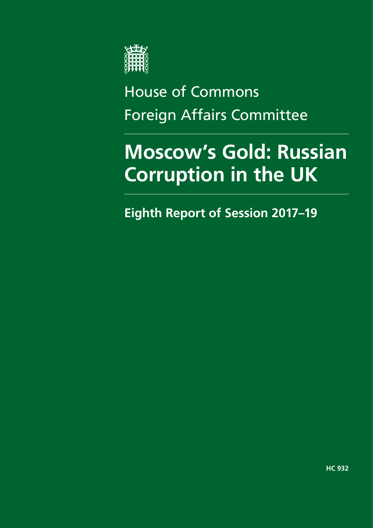

House of Commons Foreign Affairs Committee

# **Moscow's Gold: Russian Corruption in the UK**

**Eighth Report of Session 2017–19**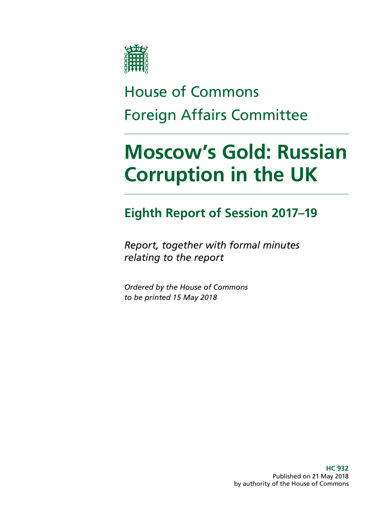

# House of Commons Foreign Affairs Committee

# **Moscow's Gold: Russian Corruption in the UK**

### **Eighth Report of Session 2017–19**

*Report, together with formal minutes relating to the report*

*Ordered by the House of Commons to be printed 15 May 2018*

> **HC 932** Published on 21 May 2018 by authority of the House of Commons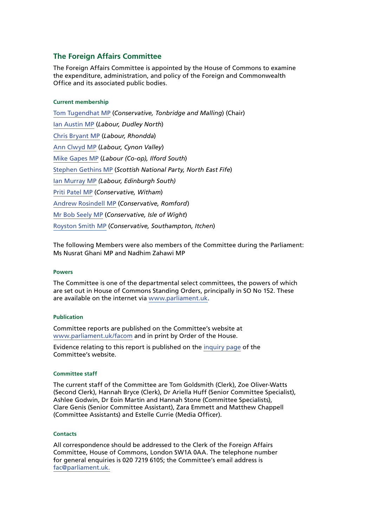#### **The Foreign Affairs Committee**

The Foreign Affairs Committee is appointed by the House of Commons to examine the expenditure, administration, and policy of the Foreign and Commonwealth Office and its associated public bodies.

#### **Current membership**

[Tom Tugendhat MP](http://www.parliament.uk/biographies/commons/tom-tugendhat/4462) (*Conservative, Tonbridge and Malling*) (Chair) [Ian Austin MP](http://www.parliament.uk/biographies/commons/ian-austin/1511) (*Labour, Dudley North*) [Chris Bryant MP](http://www.parliament.uk/biographies/commons/chris-bryant/1446) (*Labour, Rhondda*) [Ann Clwyd MP](http://www.parliament.uk/biographies/commons/ann-clwyd/553) (*Labour, Cynon Valley*) [Mike Gapes MP](http://www.parliament.uk/biographies/commons/mike-gapes/184) (*Labour (Co-op), Ilford South*) [Stephen Gethins MP](http://www.parliament.uk/biographies/commons/stephen-gethins/4434) (*Scottish National Party, North East Fife*) [Ian Murray MP](http://www.parliament.uk/biographies/commons/ian-murray/3966) *(Labour, Edinburgh South)* [Priti Patel MP](https://www.parliament.uk/biographies/commons/priti-patel/4066) (*Conservative, Witham*) [Andrew Rosindell MP](http://www.parliament.uk/biographies/commons/andrew-rosindell/1447) (*Conservative, Romford*) [Mr Bob Seely MP](https://www.parliament.uk/biographies/commons/mr-bob-seely/4681) (*Conservative, Isle of Wight*) [Royston Smith MP](http://www.parliament.uk/biographies/commons/royston-smith/4478) (*Conservative, Southampton, Itchen*)

The following Members were also members of the Committee during the Parliament: Ms Nusrat Ghani MP and Nadhim Zahawi MP

#### **Powers**

The Committee is one of the departmental select committees, the powers of which are set out in House of Commons Standing Orders, principally in SO No 152. These are available on the internet via [www.parliament.uk.](http://www.parliament.uk)

#### **Publication**

Committee reports are published on the Committee's website at [www.parliament.uk/facom](http://www.parliament.uk/facom) and in print by Order of the House.

Evidence relating to this report is published on the [inquiry page](https://www.parliament.uk/business/committees/committees-a-z/commons-select/foreign-affairs-committee/inquiries1/parliament-2017/inquiry7/) of the Committee's website.

#### **Committee staff**

The current staff of the Committee are Tom Goldsmith (Clerk), Zoe Oliver-Watts (Second Clerk), Hannah Bryce (Clerk), Dr Ariella Huff (Senior Committee Specialist), Ashlee Godwin, Dr Eoin Martin and Hannah Stone (Committee Specialists), Clare Genis (Senior Committee Assistant), Zara Emmett and Matthew Chappell (Committee Assistants) and Estelle Currie (Media Officer).

#### **Contacts**

All correspondence should be addressed to the Clerk of the Foreign Affairs Committee, House of Commons, London SW1A 0AA. The telephone number for general enquiries is 020 7219 6105; the Committee's email address is [fac@parliament.uk.](mailto:fac%40parliament.uk?subject=)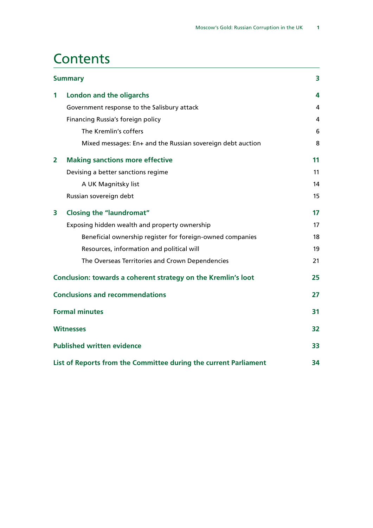### **Contents**

| <b>Summary</b>                                                   |                                                               | 3  |
|------------------------------------------------------------------|---------------------------------------------------------------|----|
| 1                                                                | <b>London and the oligarchs</b>                               | 4  |
|                                                                  | Government response to the Salisbury attack                   | 4  |
|                                                                  | Financing Russia's foreign policy                             | 4  |
|                                                                  | The Kremlin's coffers                                         | 6  |
|                                                                  | Mixed messages: En+ and the Russian sovereign debt auction    | 8  |
| $\overline{2}$                                                   | <b>Making sanctions more effective</b>                        | 11 |
|                                                                  | Devising a better sanctions regime                            | 11 |
|                                                                  | A UK Magnitsky list                                           | 14 |
|                                                                  | Russian sovereign debt                                        | 15 |
| 3                                                                | <b>Closing the "laundromat"</b>                               | 17 |
|                                                                  | Exposing hidden wealth and property ownership                 | 17 |
|                                                                  | Beneficial ownership register for foreign-owned companies     | 18 |
|                                                                  | Resources, information and political will                     | 19 |
|                                                                  | The Overseas Territories and Crown Dependencies               | 21 |
|                                                                  | Conclusion: towards a coherent strategy on the Kremlin's loot | 25 |
| <b>Conclusions and recommendations</b>                           |                                                               | 27 |
| <b>Formal minutes</b>                                            |                                                               | 31 |
| <b>Witnesses</b>                                                 |                                                               |    |
| <b>Published written evidence</b>                                |                                                               |    |
| List of Reports from the Committee during the current Parliament |                                                               |    |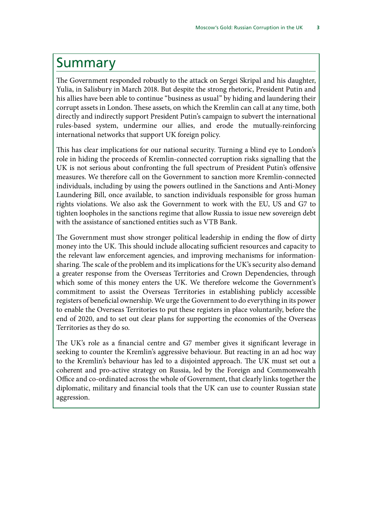### <span id="page-6-0"></span>Summary

The Government responded robustly to the attack on Sergei Skripal and his daughter, Yulia, in Salisbury in March 2018. But despite the strong rhetoric, President Putin and his allies have been able to continue "business as usual" by hiding and laundering their corrupt assets in London. These assets, on which the Kremlin can call at any time, both directly and indirectly support President Putin's campaign to subvert the international rules-based system, undermine our allies, and erode the mutually-reinforcing international networks that support UK foreign policy.

This has clear implications for our national security. Turning a blind eye to London's role in hiding the proceeds of Kremlin-connected corruption risks signalling that the UK is not serious about confronting the full spectrum of President Putin's offensive measures. We therefore call on the Government to sanction more Kremlin-connected individuals, including by using the powers outlined in the Sanctions and Anti-Money Laundering Bill, once available, to sanction individuals responsible for gross human rights violations. We also ask the Government to work with the EU, US and G7 to tighten loopholes in the sanctions regime that allow Russia to issue new sovereign debt with the assistance of sanctioned entities such as VTB Bank.

The Government must show stronger political leadership in ending the flow of dirty money into the UK. This should include allocating sufficient resources and capacity to the relevant law enforcement agencies, and improving mechanisms for informationsharing. The scale of the problem and its implications for the UK's security also demand a greater response from the Overseas Territories and Crown Dependencies, through which some of this money enters the UK. We therefore welcome the Government's commitment to assist the Overseas Territories in establishing publicly accessible registers of beneficial ownership. We urge the Government to do everything in its power to enable the Overseas Territories to put these registers in place voluntarily, before the end of 2020, and to set out clear plans for supporting the economies of the Overseas Territories as they do so.

The UK's role as a financial centre and G7 member gives it significant leverage in seeking to counter the Kremlin's aggressive behaviour. But reacting in an ad hoc way to the Kremlin's behaviour has led to a disjointed approach. The UK must set out a coherent and pro-active strategy on Russia, led by the Foreign and Commonwealth Office and co-ordinated across the whole of Government, that clearly links together the diplomatic, military and financial tools that the UK can use to counter Russian state aggression.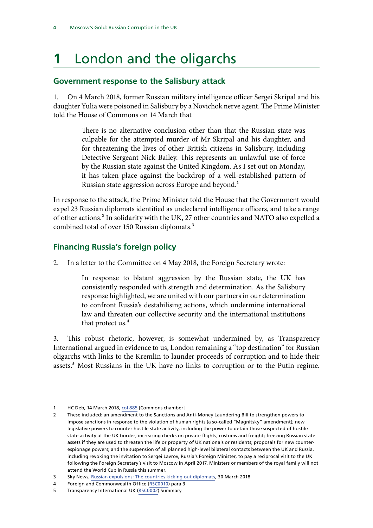# <span id="page-7-0"></span>**1** London and the oligarchs

#### **Government response to the Salisbury attack**

1. On 4 March 2018, former Russian military intelligence officer Sergei Skripal and his daughter Yulia were poisoned in Salisbury by a Novichok nerve agent. The Prime Minister told the House of Commons on 14 March that

> There is no alternative conclusion other than that the Russian state was culpable for the attempted murder of Mr Skripal and his daughter, and for threatening the lives of other British citizens in Salisbury, including Detective Sergeant Nick Bailey. This represents an unlawful use of force by the Russian state against the United Kingdom. As I set out on Monday, it has taken place against the backdrop of a well-established pattern of Russian state aggression across Europe and beyond.<sup>1</sup>

In response to the attack, the Prime Minister told the House that the Government would expel 23 Russian diplomats identified as undeclared intelligence officers, and take a range of other actions.2 In solidarity with the UK, 27 other countries and NATO also expelled a combined total of over 150 Russian diplomats.<sup>3</sup>

#### **Financing Russia's foreign policy**

2. In a letter to the Committee on 4 May 2018, the Foreign Secretary wrote:

In response to blatant aggression by the Russian state, the UK has consistently responded with strength and determination. As the Salisbury response highlighted, we are united with our partners in our determination to confront Russia's destabilising actions, which undermine international law and threaten our collective security and the international institutions that protect us.<sup>4</sup>

3. This robust rhetoric, however, is somewhat undermined by, as Transparency International argued in evidence to us, London remaining a "top destination" for Russian oligarchs with links to the Kremlin to launder proceeds of corruption and to hide their assets.<sup>5</sup> Most Russians in the UK have no links to corruption or to the Putin regime.

HC Deb, 14 March 2018, [col 885](https://hansard.parliament.uk/commons/2018-03-14/debates/071C37BB-DF8F-4836-88CA-66AB74369BC1/SalisburyIncidentFurtherUpdate) [Commons chamber]

<sup>2</sup> These included: an amendment to the Sanctions and Anti-Money Laundering Bill to strengthen powers to impose sanctions in response to the violation of human rights (a so-called "Magnitsky" amendment); new legislative powers to counter hostile state activity, including the power to detain those suspected of hostile state activity at the UK border; increasing checks on private flights, customs and freight; freezing Russian state assets if they are used to threaten the life or property of UK nationals or residents; proposals for new counterespionage powers; and the suspension of all planned high-level bilateral contacts between the UK and Russia, including revoking the invitation to Sergei Lavrov, Russia's Foreign Minister, to pay a reciprocal visit to the UK following the Foreign Secretary's visit to Moscow in April 2017. Ministers or members of the royal family will not attend the World Cup in Russia this summer.

<sup>3</sup> Sky News, [Russian expulsions: The countries kicking out diplomats,](https://news.sky.com/story/russian-expulsions-the-countries-kicking-out-diplomats-11305069) 30 March 2018

<sup>4</sup> Foreign and Commonwealth Office [\(RSC0010\)](http://data.parliament.uk/writtenevidence/committeeevidence.svc/evidencedocument/foreign-affairs-committee/russian-corruption-and-the-uk/written/82534.html) para 3

<sup>5</sup> Transparency International UK [\(RSC0002](http://data.parliament.uk/writtenevidence/committeeevidence.svc/evidencedocument/foreign-affairs-committee/russian-corruption-and-the-uk/written/81825.html)) Summary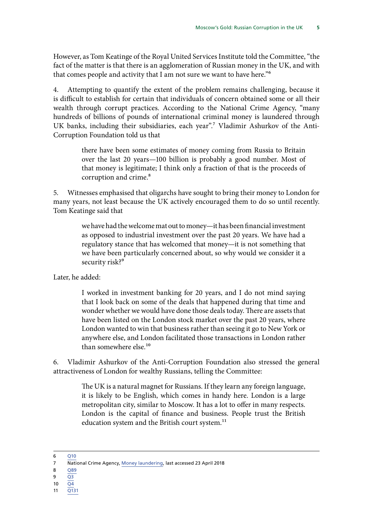However, as Tom Keatinge of the Royal United Services Institute told the Committee, "the fact of the matter is that there is an agglomeration of Russian money in the UK, and with that comes people and activity that I am not sure we want to have here."6

4. Attempting to quantify the extent of the problem remains challenging, because it is difficult to establish for certain that individuals of concern obtained some or all their wealth through corrupt practices. According to the National Crime Agency, "many hundreds of billions of pounds of international criminal money is laundered through UK banks, including their subsidiaries, each year".<sup>7</sup> Vladimir Ashurkov of the Anti-Corruption Foundation told us that

> there have been some estimates of money coming from Russia to Britain over the last 20 years—100 billion is probably a good number. Most of that money is legitimate; I think only a fraction of that is the proceeds of corruption and crime.<sup>8</sup>

5. Witnesses emphasised that oligarchs have sought to bring their money to London for many years, not least because the UK actively encouraged them to do so until recently. Tom Keatinge said that

> we have had the welcome mat out to money—it has been financial investment as opposed to industrial investment over the past 20 years. We have had a regulatory stance that has welcomed that money—it is not something that we have been particularly concerned about, so why would we consider it a security risk?<sup>9</sup>

Later, he added:

I worked in investment banking for 20 years, and I do not mind saying that I look back on some of the deals that happened during that time and wonder whether we would have done those deals today. There are assets that have been listed on the London stock market over the past 20 years, where London wanted to win that business rather than seeing it go to New York or anywhere else, and London facilitated those transactions in London rather than somewhere else.10

6. Vladimir Ashurkov of the Anti-Corruption Foundation also stressed the general attractiveness of London for wealthy Russians, telling the Committee:

> The UK is a natural magnet for Russians. If they learn any foreign language, it is likely to be English, which comes in handy here. London is a large metropolitan city, similar to Moscow. It has a lot to offer in many respects. London is the capital of finance and business. People trust the British education system and the British court system.<sup>11</sup>

- 8 089
- $9 \overline{Q3}$  $9 \overline{Q3}$  $9 \overline{Q3}$
- 10  $\overline{Q4}$  $\overline{Q4}$  $\overline{Q4}$
- 11 [Q131](http://data.parliament.uk/writtenevidence/committeeevidence.svc/evidencedocument/foreign-affairs-committee/russian-corruption-and-the-uk/oral/81007.html)

<sup>6</sup> [Q10](http://data.parliament.uk/writtenevidence/committeeevidence.svc/evidencedocument/foreign-affairs-committee/russian-corruption-and-the-uk/oral/81007.html)

<sup>7</sup> National Crime Agency, [Money laundering](http://www.nationalcrimeagency.gov.uk/crime-threats/money-laundering), last accessed 23 April 2018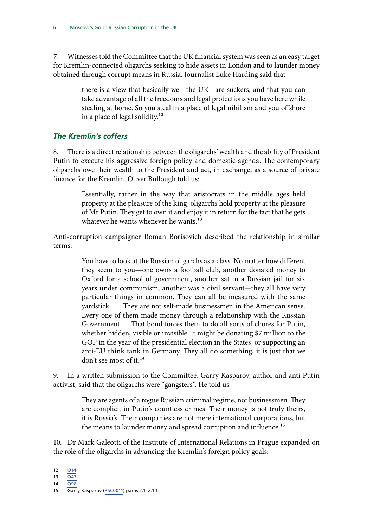<span id="page-9-0"></span>7. Witnesses told the Committee that the UK financial system was seen as an easy target for Kremlin-connected oligarchs seeking to hide assets in London and to launder money obtained through corrupt means in Russia. Journalist Luke Harding said that

> there is a view that basically we—the UK—are suckers, and that you can take advantage of all the freedoms and legal protections you have here while stealing at home. So you steal in a place of legal nihilism and you offshore in a place of legal solidity.<sup>12</sup>

#### *The Kremlin's coffers*

8. There is a direct relationship between the oligarchs' wealth and the ability of President Putin to execute his aggressive foreign policy and domestic agenda. The contemporary oligarchs owe their wealth to the President and act, in exchange, as a source of private finance for the Kremlin. Oliver Bullough told us:

> Essentially, rather in the way that aristocrats in the middle ages held property at the pleasure of the king, oligarchs hold property at the pleasure of Mr Putin. They get to own it and enjoy it in return for the fact that he gets whatever he wants whenever he wants.<sup>13</sup>

Anti-corruption campaigner Roman Borisovich described the relationship in similar terms:

> You have to look at the Russian oligarchs as a class. No matter how different they seem to you—one owns a football club, another donated money to Oxford for a school of government, another sat in a Russian jail for six years under communism, another was a civil servant—they all have very particular things in common. They can all be measured with the same yardstick … They are not self-made businessmen in the American sense. Every one of them made money through a relationship with the Russian Government … That bond forces them to do all sorts of chores for Putin, whether hidden, visible or invisible. It might be donating \$7 million to the GOP in the year of the presidential election in the States, or supporting an anti-EU think tank in Germany. They all do something; it is just that we don't see most of it.<sup>14</sup>

9. In a written submission to the Committee, Garry Kasparov, author and anti-Putin activist, said that the oligarchs were "gangsters". He told us:

> They are agents of a rogue Russian criminal regime, not businessmen. They are complicit in Putin's countless crimes. Their money is not truly theirs, it is Russia's. Their companies are not mere international corporations, but the means to launder money and spread corruption and influence.<sup>15</sup>

10. Dr Mark Galeotti of the Institute of International Relations in Prague expanded on the role of the oligarchs in advancing the Kremlin's foreign policy goals:

<sup>12</sup> [Q14](http://data.parliament.uk/writtenevidence/committeeevidence.svc/evidencedocument/foreign-affairs-committee/russian-corruption-and-the-uk/oral/81007.html)

<sup>13</sup>  $\overline{Q47}$  $\overline{Q47}$  $\overline{Q47}$ 

<sup>14</sup> [Q98](http://data.parliament.uk/writtenevidence/committeeevidence.svc/evidencedocument/foreign-affairs-committee/russian-corruption-and-the-uk/oral/81007.html)

<sup>15</sup> Garry Kasparov [\(RSC0011\)](http://data.parliament.uk/writtenevidence/committeeevidence.svc/evidencedocument/foreign-affairs-committee/russian-corruption-and-the-uk/written/82543.html) paras 2.1–2.1.1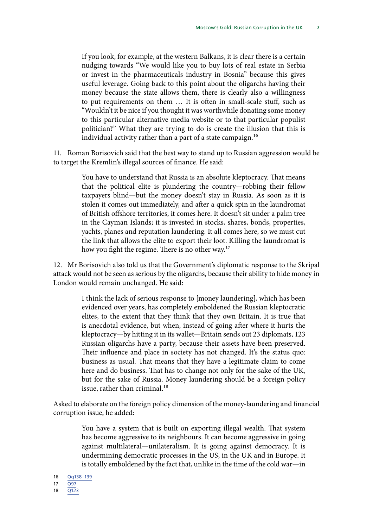If you look, for example, at the western Balkans, it is clear there is a certain nudging towards "We would like you to buy lots of real estate in Serbia or invest in the pharmaceuticals industry in Bosnia" because this gives useful leverage. Going back to this point about the oligarchs having their money because the state allows them, there is clearly also a willingness to put requirements on them … It is often in small-scale stuff, such as "Wouldn't it be nice if you thought it was worthwhile donating some money to this particular alternative media website or to that particular populist politician?" What they are trying to do is create the illusion that this is individual activity rather than a part of a state campaign.<sup>16</sup>

11. Roman Borisovich said that the best way to stand up to Russian aggression would be to target the Kremlin's illegal sources of finance. He said:

> You have to understand that Russia is an absolute kleptocracy. That means that the political elite is plundering the country—robbing their fellow taxpayers blind—but the money doesn't stay in Russia. As soon as it is stolen it comes out immediately, and after a quick spin in the laundromat of British offshore territories, it comes here. It doesn't sit under a palm tree in the Cayman Islands; it is invested in stocks, shares, bonds, properties, yachts, planes and reputation laundering. It all comes here, so we must cut the link that allows the elite to export their loot. Killing the laundromat is how you fight the regime. There is no other way.<sup>17</sup>

12. Mr Borisovich also told us that the Government's diplomatic response to the Skripal attack would not be seen as serious by the oligarchs, because their ability to hide money in London would remain unchanged. He said:

> I think the lack of serious response to [money laundering], which has been evidenced over years, has completely emboldened the Russian kleptocratic elites, to the extent that they think that they own Britain. It is true that is anecdotal evidence, but when, instead of going after where it hurts the kleptocracy—by hitting it in its wallet—Britain sends out 23 diplomats, 123 Russian oligarchs have a party, because their assets have been preserved. Their influence and place in society has not changed. It's the status quo: business as usual. That means that they have a legitimate claim to come here and do business. That has to change not only for the sake of the UK, but for the sake of Russia. Money laundering should be a foreign policy issue, rather than criminal.<sup>18</sup>

Asked to elaborate on the foreign policy dimension of the money-laundering and financial corruption issue, he added:

> You have a system that is built on exporting illegal wealth. That system has become aggressive to its neighbours. It can become aggressive in going against multilateral—unilateralism. It is going against democracy. It is undermining democratic processes in the US, in the UK and in Europe. It is totally emboldened by the fact that, unlike in the time of the cold war—in

<sup>16</sup> [Qq138–139](http://data.parliament.uk/writtenevidence/committeeevidence.svc/evidencedocument/foreign-affairs-committee/russian-corruption-and-the-uk/oral/82929.html)

<sup>17 097</sup> 

<sup>18</sup> [Q123](http://data.parliament.uk/writtenevidence/committeeevidence.svc/evidencedocument/foreign-affairs-committee/russian-corruption-and-the-uk/oral/81007.html)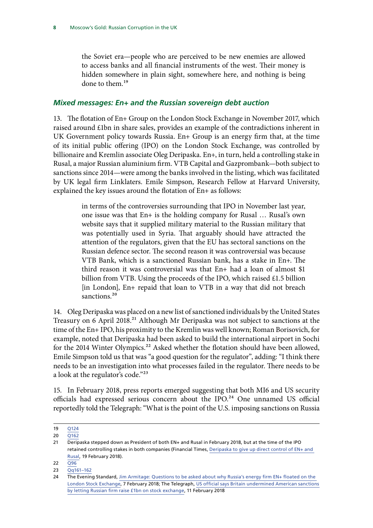<span id="page-11-0"></span>the Soviet era—people who are perceived to be new enemies are allowed to access banks and all financial instruments of the west. Their money is hidden somewhere in plain sight, somewhere here, and nothing is being done to them.<sup>19</sup>

#### *Mixed messages: En+ and the Russian sovereign debt auction*

13. The flotation of En+ Group on the London Stock Exchange in November 2017, which raised around £1bn in share sales, provides an example of the contradictions inherent in UK Government policy towards Russia. En+ Group is an energy firm that, at the time of its initial public offering (IPO) on the London Stock Exchange, was controlled by billionaire and Kremlin associate Oleg Deripaska. En+, in turn, held a controlling stake in Rusal, a major Russian aluminium firm. VTB Capital and Gazprombank—both subject to sanctions since 2014—were among the banks involved in the listing, which was facilitated by UK legal firm Linklaters. Emile Simpson, Research Fellow at Harvard University, explained the key issues around the flotation of En+ as follows:

> in terms of the controversies surrounding that IPO in November last year, one issue was that En+ is the holding company for Rusal … Rusal's own website says that it supplied military material to the Russian military that was potentially used in Syria. That arguably should have attracted the attention of the regulators, given that the EU has sectoral sanctions on the Russian defence sector. The second reason it was controversial was because VTB Bank, which is a sanctioned Russian bank, has a stake in En+. The third reason it was controversial was that En+ had a loan of almost \$1 billion from VTB. Using the proceeds of the IPO, which raised £1.5 billion [in London], En+ repaid that loan to VTB in a way that did not breach sanctions<sup>20</sup>

14. Oleg Deripaska was placed on a new list of sanctioned individuals by the United States Treasury on 6 April 2018.<sup>21</sup> Although Mr Deripaska was not subject to sanctions at the time of the En+ IPO, his proximity to the Kremlin was well known; Roman Borisovich, for example, noted that Deripaska had been asked to build the international airport in Sochi for the 2014 Winter Olympics.<sup>22</sup> Asked whether the flotation should have been allowed, Emile Simpson told us that was "a good question for the regulator", adding: "I think there needs to be an investigation into what processes failed in the regulator. There needs to be a look at the regulator's code."23

15. In February 2018, press reports emerged suggesting that both MI6 and US security officials had expressed serious concern about the IPO.<sup>24</sup> One unnamed US official reportedly told the Telegraph: "What is the point of the U.S. imposing sanctions on Russia

<sup>19</sup> [Q124](http://data.parliament.uk/writtenevidence/committeeevidence.svc/evidencedocument/foreign-affairs-committee/russian-corruption-and-the-uk/oral/81007.html)

<sup>20</sup> [Q162](http://data.parliament.uk/writtenevidence/committeeevidence.svc/evidencedocument/foreign-affairs-committee/russian-corruption-and-the-uk/oral/82929.html)

<sup>21</sup> Deripaska stepped down as President of both EN+ and Rusal in February 2018, but at the time of the IPO retained controlling stakes in both companies (Financial Times, [Deripaska to give up direct control of EN+ and](https://www.ft.com/content/907ce5c0-1543-11e8-9376-4a6390addb44)  [Rusal,](https://www.ft.com/content/907ce5c0-1543-11e8-9376-4a6390addb44) 19 February 2018).

<sup>22</sup> [Q96](http://data.parliament.uk/writtenevidence/committeeevidence.svc/evidencedocument/foreign-affairs-committee/russian-corruption-and-the-uk/oral/81007.html)

<sup>23</sup> [Qq161–162](http://data.parliament.uk/writtenevidence/committeeevidence.svc/evidencedocument/foreign-affairs-committee/russian-corruption-and-the-uk/oral/82929.html)

<sup>24</sup> The Evening Standard, [Jim Armitage: Questions to be asked about why Russia's energy firm EN+ floated on the](https://www.standard.co.uk/business/jim-armitage-questions-to-be-asked-about-why-russias-energy-firm-en-floated-on-the-london-stock-a3760376.html)  [London Stock Exchange,](https://www.standard.co.uk/business/jim-armitage-questions-to-be-asked-about-why-russias-energy-firm-en-floated-on-the-london-stock-a3760376.html) 7 February 2018; The Telegraph, [US official says Britain undermined American sanctions](https://www.telegraph.co.uk/news/2018/02/11/us-official-says-britain-undermined-american-sanctions-letting/)  [by letting Russian firm raise £1bn on stock exchange](https://www.telegraph.co.uk/news/2018/02/11/us-official-says-britain-undermined-american-sanctions-letting/), 11 February 2018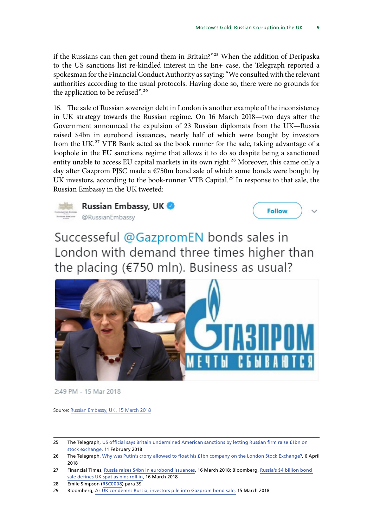if the Russians can then get round them in Britain?"25 When the addition of Deripaska to the US sanctions list re-kindled interest in the En+ case, the Telegraph reported a spokesman for the Financial Conduct Authority as saying: "We consulted with the relevant authorities according to the usual protocols. Having done so, there were no grounds for the application to be refused".<sup>26</sup>

16. The sale of Russian sovereign debt in London is another example of the inconsistency in UK strategy towards the Russian regime. On 16 March 2018—two days after the Government announced the expulsion of 23 Russian diplomats from the UK—Russia raised \$4bn in eurobond issuances, nearly half of which were bought by investors from the UK.27 VTB Bank acted as the book runner for the sale, taking advantage of a loophole in the EU sanctions regime that allows it to do so despite being a sanctioned entity unable to access EU capital markets in its own right.<sup>28</sup> Moreover, this came only a day after Gazprom PJSC made a €750m bond sale of which some bonds were bought by UK investors, according to the book-runner VTB Capital.29 In response to that sale, the Russian Embassy in the UK tweeted:



Russian Embassy, UK **CRussianEmbassy** 



Successeful @GazpromEN bonds sales in London with demand three times higher than the placing (€750 mln). Business as usual?



2:49 PM - 15 Mar 2018

Source: [Russian Embassy, UK, 15 March 2018](https://twitter.com/RussianEmbassy/status/974296493355126785)

<sup>25</sup> The Telegraph, [US official says Britain undermined American sanctions by letting Russian firm raise £1bn on](https://www.telegraph.co.uk/news/2018/02/11/us-official-says-britain-undermined-american-sanctions-letting/)  [stock exchange](https://www.telegraph.co.uk/news/2018/02/11/us-official-says-britain-undermined-american-sanctions-letting/), 11 February 2018

<sup>26</sup> The Telegraph, [Why was Putin's crony allowed to float his £1bn company on the London Stock Exchange?](http://subscriber.telegraph.co.uk/news/2018/04/06/oleg-deripaskas-1bn-london-flotation-questioned-us-freezes-assets/), 6 April 2018

<sup>27</sup> Financial Times, [Russia raises \\$4bn in eurobond issuances](https://www.ft.com/content/d23d1584-295c-11e8-b27e-cc62a39d57a0), 16 March 2018; Bloomberg, Russia's \$4 billion bond [sale defines UK spat as bids roll in](https://www.bloomberg.com/news/articles/2018-03-16/russia-s-bond-sale-defies-u-k-spat-as-bids-reach-4-5-billion), 16 March 2018

<sup>28</sup> Emile Simpson ([RSC0008\)](http://data.parliament.uk/writtenevidence/committeeevidence.svc/evidencedocument/foreign-affairs-committee/russian-corruption-and-the-uk/written/82277.html) para 39

<sup>29</sup> Bloomberg, [As UK condemns Russia, investors pile into Gazprom bond sale,](https://www.bloomberg.com/news/articles/2018-03-15/as-u-k-condemns-russia-investors-pile-into-gazprom-bond-sale) 15 March 2018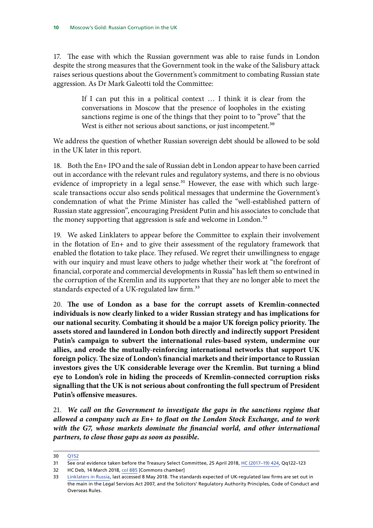17. The ease with which the Russian government was able to raise funds in London despite the strong measures that the Government took in the wake of the Salisbury attack raises serious questions about the Government's commitment to combating Russian state aggression. As Dr Mark Galeotti told the Committee:

> If I can put this in a political context … I think it is clear from the conversations in Moscow that the presence of loopholes in the existing sanctions regime is one of the things that they point to to "prove" that the West is either not serious about sanctions, or just incompetent.<sup>30</sup>

We address the question of whether Russian sovereign debt should be allowed to be sold in the UK later in this report.

18. Both the En+ IPO and the sale of Russian debt in London appear to have been carried out in accordance with the relevant rules and regulatory systems, and there is no obvious evidence of impropriety in a legal sense.<sup>31</sup> However, the ease with which such largescale transactions occur also sends political messages that undermine the Government's condemnation of what the Prime Minister has called the "well-established pattern of Russian state aggression", encouraging President Putin and his associates to conclude that the money supporting that aggression is safe and welcome in London.<sup>32</sup>

19. We asked Linklaters to appear before the Committee to explain their involvement in the flotation of En+ and to give their assessment of the regulatory framework that enabled the flotation to take place. They refused. We regret their unwillingness to engage with our inquiry and must leave others to judge whether their work at "the forefront of financial, corporate and commercial developments in Russia" has left them so entwined in the corruption of the Kremlin and its supporters that they are no longer able to meet the standards expected of a UK-regulated law firm.<sup>33</sup>

20. The use of London as a base for the corrupt assets of Kremlin-connected **individuals is now clearly linked to a wider Russian strategy and has implications for our national security. Combating it should be a major UK foreign policy priority. The assets stored and laundered in London both directly and indirectly support President Putin's campaign to subvert the international rules-based system, undermine our allies, and erode the mutually-reinforcing international networks that support UK foreign policy. The size of London's financial markets and their importance to Russian investors gives the UK considerable leverage over the Kremlin. But turning a blind eye to London's role in hiding the proceeds of Kremlin-connected corruption risks signalling that the UK is not serious about confronting the full spectrum of President Putin's offensive measures.**

21. *We call on the Government to investigate the gaps in the sanctions regime that allowed a company such as En+ to float on the London Stock Exchange, and to work*  with the G7, whose markets dominate the financial world, and other international *partners, to close those gaps as soon as possible.*

32 HC Deb, 14 March 2018, [col 885](https://hansard.parliament.uk/commons/2018-03-14/debates/071C37BB-DF8F-4836-88CA-66AB74369BC1/SalisburyIncidentFurtherUpdate) [Commons chamber]

<sup>30</sup> [Q152](http://data.parliament.uk/writtenevidence/committeeevidence.svc/evidencedocument/foreign-affairs-committee/russian-corruption-and-the-uk/oral/82929.html)

<sup>31</sup> See oral evidence taken before the Treasury Select Committee, 25 April 2018, [HC \(2017–19\) 424](http://data.parliament.uk/writtenevidence/committeeevidence.svc/evidencedocument/treasury-committee/the-work-of-the-chancellor-of-the-exchequer/oral/82056.html), Qq122–123

<sup>33</sup> [Linklaters in Russia](https://www.linklaters.com/en/locations/russia), last accessed 8 May 2018. The standards expected of UK-regulated law firms are set out in the main in the Legal Services Act 2007, and the Solicitors' Regulatory Authority Principles, Code of Conduct and Overseas Rules.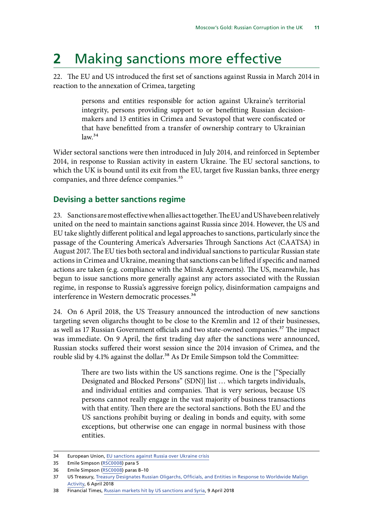## <span id="page-14-0"></span>**2** Making sanctions more effective

22. The EU and US introduced the first set of sanctions against Russia in March 2014 in reaction to the annexation of Crimea, targeting

> persons and entities responsible for action against Ukraine's territorial integrity, persons providing support to or benefitting Russian decisionmakers and 13 entities in Crimea and Sevastopol that were confiscated or that have benefitted from a transfer of ownership contrary to Ukrainian  $law.<sup>34</sup>$

Wider sectoral sanctions were then introduced in July 2014, and reinforced in September 2014, in response to Russian activity in eastern Ukraine. The EU sectoral sanctions, to which the UK is bound until its exit from the EU, target five Russian banks, three energy companies, and three defence companies.<sup>35</sup>

#### **Devising a better sanctions regime**

23. Sanctions are most effective when allies act together. The EU and US have been relatively united on the need to maintain sanctions against Russia since 2014. However, the US and EU take slightly different political and legal approaches to sanctions, particularly since the passage of the Countering America's Adversaries Through Sanctions Act (CAATSA) in August 2017. The EU ties both sectoral and individual sanctions to particular Russian state actions in Crimea and Ukraine, meaning that sanctions can be lifted if specific and named actions are taken (e.g. compliance with the Minsk Agreements). The US, meanwhile, has begun to issue sanctions more generally against any actors associated with the Russian regime, in response to Russia's aggressive foreign policy, disinformation campaigns and interference in Western democratic processes.<sup>36</sup>

24. On 6 April 2018, the US Treasury announced the introduction of new sanctions targeting seven oligarchs thought to be close to the Kremlin and 12 of their businesses, as well as 17 Russian Government officials and two state-owned companies.<sup>37</sup> The impact was immediate. On 9 April, the first trading day after the sanctions were announced, Russian stocks suffered their worst session since the 2014 invasion of Crimea, and the rouble slid by 4.1% against the dollar.<sup>38</sup> As Dr Emile Simpson told the Committee:

> There are two lists within the US sanctions regime. One is the ["Specially Designated and Blocked Persons" (SDN)] list … which targets individuals, and individual entities and companies. That is very serious, because US persons cannot really engage in the vast majority of business transactions with that entity. Then there are the sectoral sanctions. Both the EU and the US sanctions prohibit buying or dealing in bonds and equity, with some exceptions, but otherwise one can engage in normal business with those entities.

<sup>34</sup> European Union, [EU sanctions against Russia over Ukraine crisis](https://europa.eu/newsroom/highlights/special-coverage/eu_sanctions_en)

<sup>35</sup> Emile Simpson ([RSC0008\)](http://data.parliament.uk/writtenevidence/committeeevidence.svc/evidencedocument/foreign-affairs-committee/russian-corruption-and-the-uk/written/82277.html) para 5

<sup>36</sup> Emile Simpson ([RSC0008\)](http://data.parliament.uk/writtenevidence/committeeevidence.svc/evidencedocument/foreign-affairs-committee/russian-corruption-and-the-uk/written/82277.html) paras 8–10

<sup>37</sup> US Treasury, [Treasury Designates Russian Oligarchs, Officials, and Entities in Response to Worldwide Malign](file:https://home.treasury.gov/news/press-releases/sm0338)  [Activity,](file:https://home.treasury.gov/news/press-releases/sm0338) 6 April 2018

<sup>38</sup> Financial Times, [Russian markets hit by US sanctions and Syria](https://www.ft.com/content/412e9d88-3bd6-11e8-b7e0-52972418fec4), 9 April 2018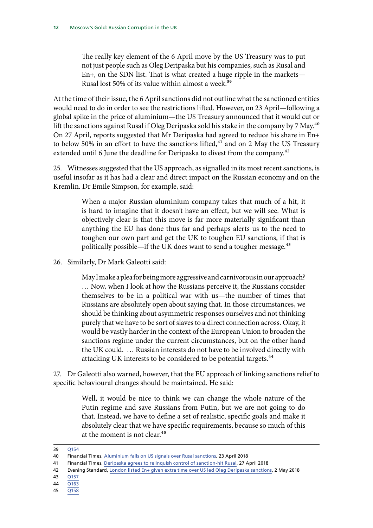The really key element of the 6 April move by the US Treasury was to put not just people such as Oleg Deripaska but his companies, such as Rusal and En+, on the SDN list. That is what created a huge ripple in the markets— Rusal lost 50% of its value within almost a week.<sup>39</sup>

At the time of their issue, the 6 April sanctions did not outline what the sanctioned entities would need to do in order to see the restrictions lifted. However, on 23 April—following a global spike in the price of aluminium—the US Treasury announced that it would cut or lift the sanctions against Rusal if Oleg Deripaska sold his stake in the company by 7 May.<sup>40</sup> On 27 April, reports suggested that Mr Deripaska had agreed to reduce his share in En+ to below 50% in an effort to have the sanctions lifted, $41$  and on 2 May the US Treasury extended until 6 June the deadline for Deripaska to divest from the company.<sup>42</sup>

25. Witnesses suggested that the US approach, as signalled in its most recent sanctions, is useful insofar as it has had a clear and direct impact on the Russian economy and on the Kremlin. Dr Emile Simpson, for example, said:

> When a major Russian aluminium company takes that much of a hit, it is hard to imagine that it doesn't have an effect, but we will see. What is objectively clear is that this move is far more materially significant than anything the EU has done thus far and perhaps alerts us to the need to toughen our own part and get the UK to toughen EU sanctions, if that is politically possible—if the UK does want to send a tougher message.<sup>43</sup>

26. Similarly, Dr Mark Galeotti said:

May I make a plea for being more aggressive and carnivorous in our approach? … Now, when I look at how the Russians perceive it, the Russians consider themselves to be in a political war with us—the number of times that Russians are absolutely open about saying that. In those circumstances, we should be thinking about asymmetric responses ourselves and not thinking purely that we have to be sort of slaves to a direct connection across. Okay, it would be vastly harder in the context of the European Union to broaden the sanctions regime under the current circumstances, but on the other hand the UK could. … Russian interests do not have to be involved directly with attacking UK interests to be considered to be potential targets.<sup>44</sup>

27. Dr Galeotti also warned, however, that the EU approach of linking sanctions relief to specific behavioural changes should be maintained. He said:

> Well, it would be nice to think we can change the whole nature of the Putin regime and save Russians from Putin, but we are not going to do that. Instead, we have to define a set of realistic, specific goals and make it absolutely clear that we have specific requirements, because so much of this at the moment is not clear.45

39 [Q154](http://data.parliament.uk/writtenevidence/committeeevidence.svc/evidencedocument/foreign-affairs-committee/russian-corruption-and-the-uk/oral/82929.html)

- 42 Evening Standard, [London listed En+ given extra time over US led Oleg Deripaska sanctions](https://www.standard.co.uk/business/london-listed-en-given-extra-time-over-us-led-oleg-deripaska-sanctions-a3829316.html), 2 May 2018
- 43 [Q157](http://data.parliament.uk/writtenevidence/committeeevidence.svc/evidencedocument/foreign-affairs-committee/russian-corruption-and-the-uk/oral/82929.html)
- 44 [Q163](http://data.parliament.uk/writtenevidence/committeeevidence.svc/evidencedocument/foreign-affairs-committee/russian-corruption-and-the-uk/oral/82929.html)
- 45 [Q158](http://data.parliament.uk/writtenevidence/committeeevidence.svc/evidencedocument/foreign-affairs-committee/russian-corruption-and-the-uk/oral/82929.html)

<sup>40</sup> Financial Times, [Aluminium falls on US signals over Rusal sanctions](https://www.ft.com/content/fdc08266-46f0-11e8-8ae9-4b5ddcca99b3), 23 April 2018

<sup>41</sup> Financial Times, [Deripaska agrees to relinquish control of sanction-hit Rusal,](https://www.ft.com/content/b98bbe8c-4a31-11e8-8ae9-4b5ddcca99b3) 27 April 2018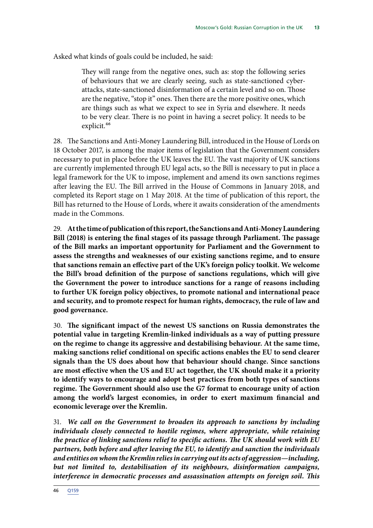Asked what kinds of goals could be included, he said:

They will range from the negative ones, such as: stop the following series of behaviours that we are clearly seeing, such as state-sanctioned cyberattacks, state-sanctioned disinformation of a certain level and so on. Those are the negative, "stop it" ones. Then there are the more positive ones, which are things such as what we expect to see in Syria and elsewhere. It needs to be very clear. There is no point in having a secret policy. It needs to be explicit.46

28. The Sanctions and Anti-Money Laundering Bill, introduced in the House of Lords on 18 October 2017, is among the major items of legislation that the Government considers necessary to put in place before the UK leaves the EU. The vast majority of UK sanctions are currently implemented through EU legal acts, so the Bill is necessary to put in place a legal framework for the UK to impose, implement and amend its own sanctions regimes after leaving the EU. The Bill arrived in the House of Commons in January 2018, and completed its Report stage on 1 May 2018. At the time of publication of this report, the Bill has returned to the House of Lords, where it awaits consideration of the amendments made in the Commons.

29. **At the time of publication of this report, the Sanctions and Anti-Money Laundering Bill (2018) is entering the final stages of its passage through Parliament. The passage of the Bill marks an important opportunity for Parliament and the Government to assess the strengths and weaknesses of our existing sanctions regime, and to ensure that sanctions remain an effective part of the UK's foreign policy toolkit. We welcome the Bill's broad definition of the purpose of sanctions regulations, which will give the Government the power to introduce sanctions for a range of reasons including to further UK foreign policy objectives, to promote national and international peace and security, and to promote respect for human rights, democracy, the rule of law and good governance.**

30. The significant impact of the newest US sanctions on Russia demonstrates the **potential value in targeting Kremlin-linked individuals as a way of putting pressure on the regime to change its aggressive and destabilising behaviour. At the same time, making sanctions relief conditional on specific actions enables the EU to send clearer signals than the US does about how that behaviour should change. Since sanctions are most effective when the US and EU act together, the UK should make it a priority to identify ways to encourage and adopt best practices from both types of sanctions regime. The Government should also use the G7 format to encourage unity of action among the world's largest economies, in order to exert maximum financial and economic leverage over the Kremlin.**

31. *We call on the Government to broaden its approach to sanctions by including individuals closely connected to hostile regimes, where appropriate, while retaining the practice of linking sanctions relief to specific actions. The UK should work with EU partners, both before and after leaving the EU, to identify and sanction the individuals and entities on whom the Kremlin relies in carrying out its acts of aggression—including, but not limited to, destabilisation of its neighbours, disinformation campaigns, interference in democratic processes and assassination attempts on foreign soil. This*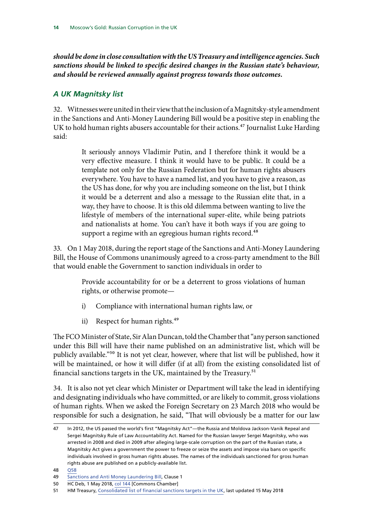<span id="page-17-0"></span>*should be done in close consultation with the US Treasury and intelligence agencies. Such sanctions should be linked to specific desired changes in the Russian state's behaviour, and should be reviewed annually against progress towards those outcomes.*

#### *A UK Magnitsky list*

32. Witnesses were united in their view that the inclusion of a Magnitsky-style amendment in the Sanctions and Anti-Money Laundering Bill would be a positive step in enabling the UK to hold human rights abusers accountable for their actions.<sup>47</sup> Journalist Luke Harding said:

> It seriously annoys Vladimir Putin, and I therefore think it would be a very effective measure. I think it would have to be public. It could be a template not only for the Russian Federation but for human rights abusers everywhere. You have to have a named list, and you have to give a reason, as the US has done, for why you are including someone on the list, but I think it would be a deterrent and also a message to the Russian elite that, in a way, they have to choose. It is this old dilemma between wanting to live the lifestyle of members of the international super-elite, while being patriots and nationalists at home. You can't have it both ways if you are going to support a regime with an egregious human rights record.<sup>48</sup>

33. On 1 May 2018, during the report stage of the Sanctions and Anti-Money Laundering Bill, the House of Commons unanimously agreed to a cross-party amendment to the Bill that would enable the Government to sanction individuals in order to

> Provide accountability for or be a deterrent to gross violations of human rights, or otherwise promote—

- i) Compliance with international human rights law, or
- ii) Respect for human rights.<sup>49</sup>

The FCO Minister of State, Sir Alan Duncan, told the Chamber that "any person sanctioned under this Bill will have their name published on an administrative list, which will be publicly available."50 It is not yet clear, however, where that list will be published, how it will be maintained, or how it will differ (if at all) from the existing consolidated list of financial sanctions targets in the UK, maintained by the Treasury.<sup>51</sup>

34. It is also not yet clear which Minister or Department will take the lead in identifying and designating individuals who have committed, or are likely to commit, gross violations of human rights. When we asked the Foreign Secretary on 23 March 2018 who would be responsible for such a designation, he said, "That will obviously be a matter for our law

48 [Q58](http://data.parliament.uk/writtenevidence/committeeevidence.svc/evidencedocument/foreign-affairs-committee/russian-corruption-and-the-uk/oral/81007.html)

<sup>47</sup> In 2012, the US passed the world's first "Magnitsky Act"—the Russia and Moldova Jackson-Vanik Repeal and Sergei Magnitsky Rule of Law Accountability Act. Named for the Russian lawyer Sergei Magnitsky, who was arrested in 2008 and died in 2009 after alleging large-scale corruption on the part of the Russian state, a Magnitsky Act gives a government the power to freeze or seize the assets and impose visa bans on specific individuals involved in gross human rights abuses. The names of the individuals sanctioned for gross human rights abuse are published on a publicly-available list.

<sup>49</sup> [Sanctions and Anti Money Laundering Bill,](https://services.parliament.uk/bills/2017-19/sanctionsandantimoneylaundering.html) Clause 1

<sup>50</sup> HC Deb, 1 May 2018, [col 144](https://hansard.parliament.uk/commons/2018-05-01/debates/9BE03BAC-2539-4951-88A2-9A8A20D7A1A3/SanctionsAndAnti-MoneyLaunderingBill(Lords)) [Commons Chamber]

<sup>51</sup> HM Treasury, [Consolidated list of financial sanctions targets in the UK](http://hmt-sanctions.s3.amazonaws.com/sanctionsconlist.htm), last updated 15 May 2018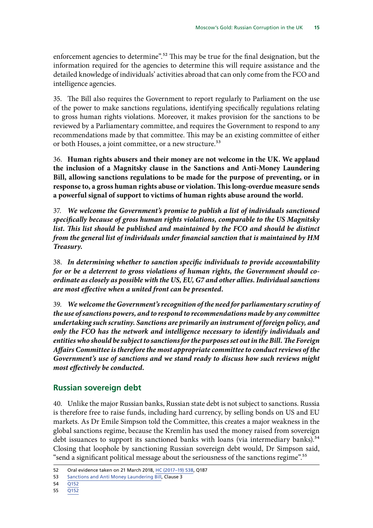<span id="page-18-0"></span>enforcement agencies to determine".<sup>52</sup> This may be true for the final designation, but the information required for the agencies to determine this will require assistance and the detailed knowledge of individuals' activities abroad that can only come from the FCO and intelligence agencies.

35. The Bill also requires the Government to report regularly to Parliament on the use of the power to make sanctions regulations, identifying specifically regulations relating to gross human rights violations. Moreover, it makes provision for the sanctions to be reviewed by a Parliamentary committee, and requires the Government to respond to any recommendations made by that committee. This may be an existing committee of either or both Houses, a joint committee, or a new structure.<sup>53</sup>

36. **Human rights abusers and their money are not welcome in the UK. We applaud the inclusion of a Magnitsky clause in the Sanctions and Anti-Money Laundering Bill, allowing sanctions regulations to be made for the purpose of preventing, or in response to, a gross human rights abuse or violation. This long-overdue measure sends a powerful signal of support to victims of human rights abuse around the world.**

37. *We welcome the Government's promise to publish a list of individuals sanctioned specifically because of gross human rights violations, comparable to the US Magnitsky*  list. This list should be published and maintained by the FCO and should be distinct *from the general list of individuals under financial sanction that is maintained by HM Treasury.*

38. *In determining whether to sanction specific individuals to provide accountability for or be a deterrent to gross violations of human rights, the Government should coordinate as closely as possible with the US, EU, G7 and other allies. Individual sanctions are most effective when a united front can be presented.*

39. *We welcome the Government's recognition of the need for parliamentary scrutiny of the use of sanctions powers, and to respond to recommendations made by any committee undertaking such scrutiny. Sanctions are primarily an instrument of foreign policy, and only the FCO has the network and intelligence necessary to identify individuals and entities who should be subject to sanctions for the purposes set out in the Bill. The Foreign Affairs Committee is therefore the most appropriate committee to conduct reviews of the Government's use of sanctions and we stand ready to discuss how such reviews might most effectively be conducted.*

#### **Russian sovereign debt**

40. Unlike the major Russian banks, Russian state debt is not subject to sanctions. Russia is therefore free to raise funds, including hard currency, by selling bonds on US and EU markets. As Dr Emile Simpson told the Committee, this creates a major weakness in the global sanctions regime, because the Kremlin has used the money raised from sovereign debt issuances to support its sanctioned banks with loans (via intermediary banks).<sup>54</sup> Closing that loophole by sanctioning Russian sovereign debt would, Dr Simpson said, "send a significant political message about the seriousness of the sanctions regime".55

<sup>52</sup> Oral evidence taken on 21 March 2018, [HC \(2017–19\) 538,](http://data.parliament.uk/writtenevidence/committeeevidence.svc/evidencedocument/foreign-affairs-committee/oral-evidence-from-the-foreign-secretary-march-2018/oral/80781.html) Q187

<sup>53</sup> [Sanctions and Anti Money Laundering Bill,](https://services.parliament.uk/bills/2017-19/sanctionsandantimoneylaundering.html) Clause 3

<sup>54</sup> [Q152](http://data.parliament.uk/writtenevidence/committeeevidence.svc/evidencedocument/foreign-affairs-committee/russian-corruption-and-the-uk/oral/82929.html)

<sup>55</sup> [Q152](http://data.parliament.uk/writtenevidence/committeeevidence.svc/evidencedocument/foreign-affairs-committee/russian-corruption-and-the-uk/oral/82929.html)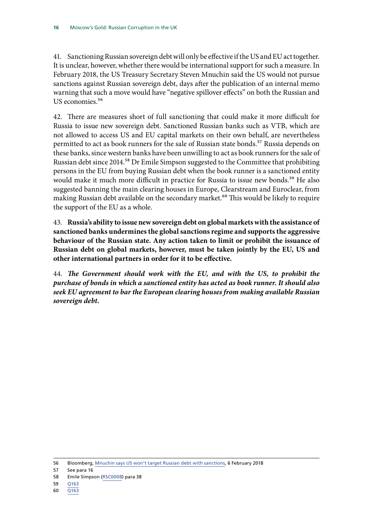41. Sanctioning Russian sovereign debt will only be effective if the US and EU act together. It is unclear, however, whether there would be international support for such a measure. In February 2018, the US Treasury Secretary Steven Mnuchin said the US would not pursue sanctions against Russian sovereign debt, days after the publication of an internal memo warning that such a move would have "negative spillover effects" on both the Russian and US economies.<sup>56</sup>

42. There are measures short of full sanctioning that could make it more difficult for Russia to issue new sovereign debt. Sanctioned Russian banks such as VTB, which are not allowed to access US and EU capital markets on their own behalf, are nevertheless permitted to act as book runners for the sale of Russian state bonds.<sup>57</sup> Russia depends on these banks, since western banks have been unwilling to act as book runners for the sale of Russian debt since 2014.<sup>58</sup> Dr Emile Simpson suggested to the Committee that prohibiting persons in the EU from buying Russian debt when the book runner is a sanctioned entity would make it much more difficult in practice for Russia to issue new bonds.<sup>59</sup> He also suggested banning the main clearing houses in Europe, Clearstream and Euroclear, from making Russian debt available on the secondary market.<sup>60</sup> This would be likely to require the support of the EU as a whole.

43. **Russia's ability to issue new sovereign debt on global markets with the assistance of sanctioned banks undermines the global sanctions regime and supports the aggressive behaviour of the Russian state. Any action taken to limit or prohibit the issuance of Russian debt on global markets, however, must be taken jointly by the EU, US and other international partners in order for it to be effective.**

44. The Government should work with the EU, and with the US, to prohibit the *purchase of bonds in which a sanctioned entity has acted as book runner. It should also seek EU agreement to bar the European clearing houses from making available Russian sovereign debt.*

<sup>56</sup> Bloomberg, [Mnuchin says US won't target Russian debt with sanctions](https://www.bloomberg.com/news/articles/2018-02-06/mnuchin-says-u-s-won-t-target-russian-debt-with-sanctions), 6 February 2018

<sup>57</sup> See para 16

<sup>58</sup> Emile Simpson ([RSC0008\)](http://data.parliament.uk/writtenevidence/committeeevidence.svc/evidencedocument/foreign-affairs-committee/russian-corruption-and-the-uk/written/82277.html) para 38

<sup>59</sup> [Q163](http://data.parliament.uk/writtenevidence/committeeevidence.svc/evidencedocument/foreign-affairs-committee/russian-corruption-and-the-uk/oral/82929.html)

<sup>60</sup> [Q163](http://data.parliament.uk/writtenevidence/committeeevidence.svc/evidencedocument/foreign-affairs-committee/russian-corruption-and-the-uk/oral/82929.html)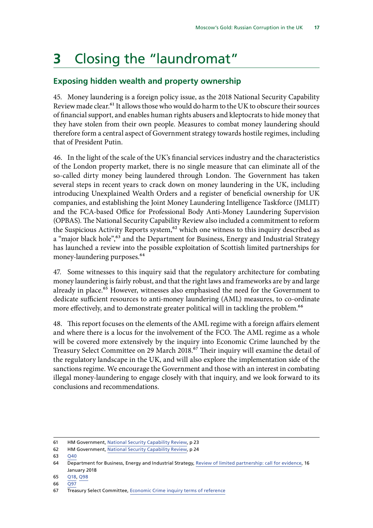# <span id="page-20-0"></span>**3** Closing the "laundromat"

#### **Exposing hidden wealth and property ownership**

45. Money laundering is a foreign policy issue, as the 2018 National Security Capability Review made clear.<sup>61</sup> It allows those who would do harm to the UK to obscure their sources of financial support, and enables human rights abusers and kleptocrats to hide money that they have stolen from their own people. Measures to combat money laundering should therefore form a central aspect of Government strategy towards hostile regimes, including that of President Putin.

46. In the light of the scale of the UK's financial services industry and the characteristics of the London property market, there is no single measure that can eliminate all of the so-called dirty money being laundered through London. The Government has taken several steps in recent years to crack down on money laundering in the UK, including introducing Unexplained Wealth Orders and a register of beneficial ownership for UK companies, and establishing the Joint Money Laundering Intelligence Taskforce (JMLIT) and the FCA-based Office for Professional Body Anti-Money Laundering Supervision (OPBAS). The National Security Capability Review also included a commitment to reform the Suspicious Activity Reports system,<sup>62</sup> which one witness to this inquiry described as a "major black hole",<sup>63</sup> and the Department for Business, Energy and Industrial Strategy has launched a review into the possible exploitation of Scottish limited partnerships for money-laundering purposes.<sup>64</sup>

47. Some witnesses to this inquiry said that the regulatory architecture for combating money laundering is fairly robust, and that the right laws and frameworks are by and large already in place.<sup>65</sup> However, witnesses also emphasised the need for the Government to dedicate sufficient resources to anti-money laundering (AML) measures, to co-ordinate more effectively, and to demonstrate greater political will in tackling the problem.<sup>66</sup>

48. This report focuses on the elements of the AML regime with a foreign affairs element and where there is a locus for the involvement of the FCO. The AML regime as a whole will be covered more extensively by the inquiry into Economic Crime launched by the Treasury Select Committee on 29 March 2018.<sup>67</sup> Their inquiry will examine the detail of the regulatory landscape in the UK, and will also explore the implementation side of the sanctions regime. We encourage the Government and those with an interest in combating illegal money-laundering to engage closely with that inquiry, and we look forward to its conclusions and recommendations.

66 [Q97](http://data.parliament.uk/writtenevidence/committeeevidence.svc/evidencedocument/foreign-affairs-committee/russian-corruption-and-the-uk/oral/81007.html)

<sup>61</sup> HM Government, [National Security Capability Review](https://assets.publishing.service.gov.uk/government/uploads/system/uploads/attachment_data/file/696305/6.4391_CO_National_Security_Review_web.pdf), p 23

<sup>62</sup> HM Government, [National Security Capability Review](https://assets.publishing.service.gov.uk/government/uploads/system/uploads/attachment_data/file/696305/6.4391_CO_National_Security_Review_web.pdf), p 24

<sup>63</sup> [Q40](http://data.parliament.uk/writtenevidence/committeeevidence.svc/evidencedocument/foreign-affairs-committee/russian-corruption-and-the-uk/oral/81007.html)

<sup>64</sup> Department for Business, Energy and Industrial Strategy, [Review of limited partnership: call for evidence,](https://www.gov.uk/government/consultations/review-of-limited-partnership-law-call-for-evidence) 16 January 2018

<sup>65</sup> [Q18, Q98](http://data.parliament.uk/writtenevidence/committeeevidence.svc/evidencedocument/foreign-affairs-committee/russian-corruption-and-the-uk/oral/81007.html)

<sup>67</sup> Treasury Select Committee, [Economic Crime inquiry terms of reference](https://www.parliament.uk/business/committees/committees-a-z/commons-select/treasury-committee/inquiries1/parliament-2017/economic-crime-17-19/)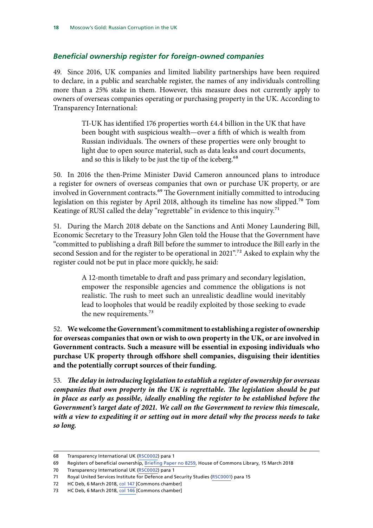#### <span id="page-21-0"></span>*Beneficial ownership register for foreign-owned companies*

49. Since 2016, UK companies and limited liability partnerships have been required to declare, in a public and searchable register, the names of any individuals controlling more than a 25% stake in them. However, this measure does not currently apply to owners of overseas companies operating or purchasing property in the UK. According to Transparency International:

> TI-UK has identified 176 properties worth £4.4 billion in the UK that have been bought with suspicious wealth—over a fifth of which is wealth from Russian individuals. The owners of these properties were only brought to light due to open source material, such as data leaks and court documents, and so this is likely to be just the tip of the iceberg.<sup>68</sup>

50. In 2016 the then-Prime Minister David Cameron announced plans to introduce a register for owners of overseas companies that own or purchase UK property, or are involved in Government contracts.<sup>69</sup> The Government initially committed to introducing legislation on this register by April 2018, although its timeline has now slipped.70 Tom Keatinge of RUSI called the delay "regrettable" in evidence to this inquiry.<sup>71</sup>

51. During the March 2018 debate on the Sanctions and Anti Money Laundering Bill, Economic Secretary to the Treasury John Glen told the House that the Government have "committed to publishing a draft Bill before the summer to introduce the Bill early in the second Session and for the register to be operational in 2021".72 Asked to explain why the register could not be put in place more quickly, he said:

> A 12-month timetable to draft and pass primary and secondary legislation, empower the responsible agencies and commence the obligations is not realistic. The rush to meet such an unrealistic deadline would inevitably lead to loopholes that would be readily exploited by those seeking to evade the new requirements.<sup>73</sup>

52. **We welcome the Government's commitment to establishing a register of ownership for overseas companies that own or wish to own property in the UK, or are involved in Government contracts. Such a measure will be essential in exposing individuals who purchase UK property through offshore shell companies, disguising their identities and the potentially corrupt sources of their funding.**

53. The delay in introducing legislation to establish a register of ownership for overseas *companies that own property in the UK is regrettable. The legislation should be put in place as early as possible, ideally enabling the register to be established before the Government's target date of 2021. We call on the Government to review this timescale, with a view to expediting it or setting out in more detail why the process needs to take so long.*

70 Transparency International UK [\(RSC0002](http://data.parliament.uk/writtenevidence/committeeevidence.svc/evidencedocument/foreign-affairs-committee/russian-corruption-and-the-uk/written/81825.html)) para 1

<sup>68</sup> Transparency International UK [\(RSC0002](http://data.parliament.uk/writtenevidence/committeeevidence.svc/evidencedocument/foreign-affairs-committee/russian-corruption-and-the-uk/written/81825.html)) para 1

<sup>69</sup> Registers of beneficial ownership, [Briefing Paper no 8259](http://researchbriefings.files.parliament.uk/documents/CBP-8259/CBP-8259.pdf), House of Commons Library, 15 March 2018

<sup>71</sup> Royal United Services Institute for Defence and Security Studies ([RSC0001](http://data.parliament.uk/writtenevidence/committeeevidence.svc/evidencedocument/foreign-affairs-committee/russian-corruption-and-the-uk/written/81824.html)) para 15

<sup>72</sup> HC Deb, 6 March 2018, [col 147](https://hansard.parliament.uk/Commons/2018-03-06/debates/57c3bd4b-0291-4c56-881a-a8ba128c6739/SanctionsAndAnti-MoneyLaunderingBill(Lords)(SixthSitting)) [Commons chamber]

<sup>73</sup> HC Deb, 6 March 2018, [col 146](https://hansard.parliament.uk/Commons/2018-03-06/debates/57c3bd4b-0291-4c56-881a-a8ba128c6739/SanctionsAndAnti-MoneyLaunderingBill(Lords)(SixthSitting)) [Commons chamber]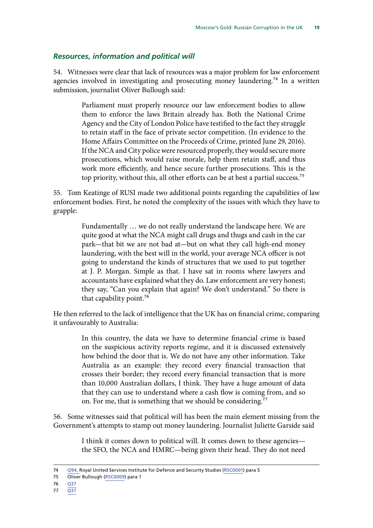#### <span id="page-22-0"></span>*Resources, information and political will*

54. Witnesses were clear that lack of resources was a major problem for law enforcement agencies involved in investigating and prosecuting money laundering.<sup>74</sup> In a written submission, journalist Oliver Bullough said:

> Parliament must properly resource our law enforcement bodies to allow them to enforce the laws Britain already has. Both the National Crime Agency and the City of London Police have testified to the fact they struggle to retain staff in the face of private sector competition. (In evidence to the Home Affairs Committee on the Proceeds of Crime, printed June 29, 2016). If the NCA and City police were resourced properly, they would secure more prosecutions, which would raise morale, help them retain staff, and thus work more efficiently, and hence secure further prosecutions. This is the top priority, without this, all other efforts can be at best a partial success.<sup>75</sup>

55. Tom Keatinge of RUSI made two additional points regarding the capabilities of law enforcement bodies. First, he noted the complexity of the issues with which they have to grapple:

> Fundamentally … we do not really understand the landscape here. We are quite good at what the NCA might call drugs and thugs and cash in the car park—that bit we are not bad at—but on what they call high-end money laundering, with the best will in the world, your average NCA officer is not going to understand the kinds of structures that we used to put together at J. P. Morgan. Simple as that. I have sat in rooms where lawyers and accountants have explained what they do. Law enforcement are very honest; they say, "Can you explain that again? We don't understand." So there is that capability point.<sup>76</sup>

He then referred to the lack of intelligence that the UK has on financial crime, comparing it unfavourably to Australia:

> In this country, the data we have to determine financial crime is based on the suspicious activity reports regime, and it is discussed extensively how behind the door that is. We do not have any other information. Take Australia as an example: they record every financial transaction that crosses their border; they record every financial transaction that is more than 10,000 Australian dollars, I think. They have a huge amount of data that they can use to understand where a cash flow is coming from, and so on. For me, that is something that we should be considering.<sup>77</sup>

56. Some witnesses said that political will has been the main element missing from the Government's attempts to stamp out money laundering. Journalist Juliette Garside said

> I think it comes down to political will. It comes down to these agencies the SFO, the NCA and HMRC—being given their head. They do not need

<sup>74</sup> [Q94,](http://data.parliament.uk/writtenevidence/committeeevidence.svc/evidencedocument/foreign-affairs-committee/russian-corruption-and-the-uk/oral/81007.html) Royal United Services Institute for Defence and Security Studies ([RSC0001\)](http://data.parliament.uk/writtenevidence/committeeevidence.svc/evidencedocument/foreign-affairs-committee/russian-corruption-and-the-uk/written/81824.html) para 5

<sup>75</sup> Oliver Bullough ([RSC0009\)](http://data.parliament.uk/writtenevidence/committeeevidence.svc/evidencedocument/foreign-affairs-committee/russian-corruption-and-the-uk/written/82279.html) para 1

<sup>76</sup> [Q37](http://data.parliament.uk/writtenevidence/committeeevidence.svc/evidencedocument/foreign-affairs-committee/russian-corruption-and-the-uk/oral/81007.html)

<sup>77</sup> [Q37](http://data.parliament.uk/writtenevidence/committeeevidence.svc/evidencedocument/foreign-affairs-committee/russian-corruption-and-the-uk/oral/81007.html)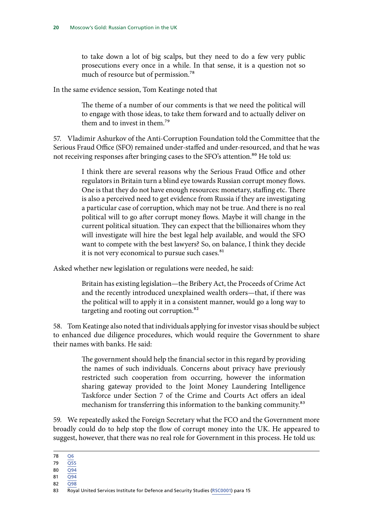to take down a lot of big scalps, but they need to do a few very public prosecutions every once in a while. In that sense, it is a question not so much of resource but of permission.78

In the same evidence session, Tom Keatinge noted that

The theme of a number of our comments is that we need the political will to engage with those ideas, to take them forward and to actually deliver on them and to invest in them.79

57. Vladimir Ashurkov of the Anti-Corruption Foundation told the Committee that the Serious Fraud Office (SFO) remained under-staffed and under-resourced, and that he was not receiving responses after bringing cases to the SFO's attention.<sup>80</sup> He told us:

> I think there are several reasons why the Serious Fraud Office and other regulators in Britain turn a blind eye towards Russian corrupt money flows. One is that they do not have enough resources: monetary, staffing etc. There is also a perceived need to get evidence from Russia if they are investigating a particular case of corruption, which may not be true. And there is no real political will to go after corrupt money flows. Maybe it will change in the current political situation. They can expect that the billionaires whom they will investigate will hire the best legal help available, and would the SFO want to compete with the best lawyers? So, on balance, I think they decide it is not very economical to pursue such cases.<sup>81</sup>

Asked whether new legislation or regulations were needed, he said:

Britain has existing legislation—the Bribery Act, the Proceeds of Crime Act and the recently introduced unexplained wealth orders—that, if there was the political will to apply it in a consistent manner, would go a long way to targeting and rooting out corruption.<sup>82</sup>

58. Tom Keatinge also noted that individuals applying for investor visas should be subject to enhanced due diligence procedures, which would require the Government to share their names with banks. He said:

> The government should help the financial sector in this regard by providing the names of such individuals. Concerns about privacy have previously restricted such cooperation from occurring, however the information sharing gateway provided to the Joint Money Laundering Intelligence Taskforce under Section 7 of the Crime and Courts Act offers an ideal mechanism for transferring this information to the banking community.<sup>83</sup>

59. We repeatedly asked the Foreign Secretary what the FCO and the Government more broadly could do to help stop the flow of corrupt money into the UK. He appeared to suggest, however, that there was no real role for Government in this process. He told us:

- 80  $\overline{O94}$
- 81  $\overline{Q94}$  $\overline{Q94}$  $\overline{Q94}$
- 82 [Q98](http://data.parliament.uk/writtenevidence/committeeevidence.svc/evidencedocument/foreign-affairs-committee/russian-corruption-and-the-uk/oral/81007.html)

<sup>78</sup> [Q6](http://data.parliament.uk/writtenevidence/committeeevidence.svc/evidencedocument/foreign-affairs-committee/russian-corruption-and-the-uk/oral/81007.html)

<sup>79</sup> [Q55](http://data.parliament.uk/writtenevidence/committeeevidence.svc/evidencedocument/foreign-affairs-committee/russian-corruption-and-the-uk/oral/81007.html)

<sup>83</sup> Royal United Services Institute for Defence and Security Studies ([RSC0001](http://data.parliament.uk/writtenevidence/committeeevidence.svc/evidencedocument/foreign-affairs-committee/russian-corruption-and-the-uk/written/81824.html)) para 15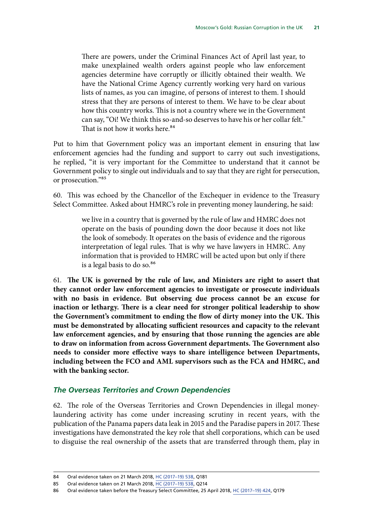<span id="page-24-0"></span>There are powers, under the Criminal Finances Act of April last year, to make unexplained wealth orders against people who law enforcement agencies determine have corruptly or illicitly obtained their wealth. We have the National Crime Agency currently working very hard on various lists of names, as you can imagine, of persons of interest to them. I should stress that they are persons of interest to them. We have to be clear about how this country works. This is not a country where we in the Government can say, "Oi! We think this so-and-so deserves to have his or her collar felt." That is not how it works here.<sup>84</sup>

Put to him that Government policy was an important element in ensuring that law enforcement agencies had the funding and support to carry out such investigations, he replied, "it is very important for the Committee to understand that it cannot be Government policy to single out individuals and to say that they are right for persecution, or prosecution."85

60. This was echoed by the Chancellor of the Exchequer in evidence to the Treasury Select Committee. Asked about HMRC's role in preventing money laundering, he said:

> we live in a country that is governed by the rule of law and HMRC does not operate on the basis of pounding down the door because it does not like the look of somebody. It operates on the basis of evidence and the rigorous interpretation of legal rules. That is why we have lawyers in HMRC. Any information that is provided to HMRC will be acted upon but only if there is a legal basis to do so.<sup>86</sup>

61. The UK is governed by the rule of law, and Ministers are right to assert that **they cannot order law enforcement agencies to investigate or prosecute individuals with no basis in evidence. But observing due process cannot be an excuse for inaction or lethargy. There is a clear need for stronger political leadership to show the Government's commitment to ending the flow of dirty money into the UK. This must be demonstrated by allocating sufficient resources and capacity to the relevant law enforcement agencies, and by ensuring that those running the agencies are able to draw on information from across Government departments. The Government also needs to consider more effective ways to share intelligence between Departments, including between the FCO and AML supervisors such as the FCA and HMRC, and with the banking sector.**

#### *The Overseas Territories and Crown Dependencies*

62. The role of the Overseas Territories and Crown Dependencies in illegal moneylaundering activity has come under increasing scrutiny in recent years, with the publication of the Panama papers data leak in 2015 and the Paradise papers in 2017. These investigations have demonstrated the key role that shell corporations, which can be used to disguise the real ownership of the assets that are transferred through them, play in

<sup>84</sup> Oral evidence taken on 21 March 2018, [HC \(2017–19\) 538,](http://data.parliament.uk/writtenevidence/committeeevidence.svc/evidencedocument/foreign-affairs-committee/oral-evidence-from-the-foreign-secretary-march-2018/oral/80781.html) Q181

<sup>85</sup> Oral evidence taken on 21 March 2018, [HC \(2017–19\) 538,](http://data.parliament.uk/writtenevidence/committeeevidence.svc/evidencedocument/foreign-affairs-committee/oral-evidence-from-the-foreign-secretary-march-2018/oral/80781.html) Q214

<sup>86</sup> Oral evidence taken before the Treasury Select Committee, 25 April 2018, HC (2017-19) 424, Q179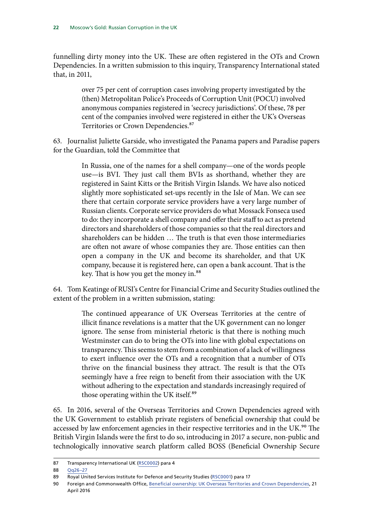funnelling dirty money into the UK. These are often registered in the OTs and Crown Dependencies. In a written submission to this inquiry, Transparency International stated that, in 2011,

> over 75 per cent of corruption cases involving property investigated by the (then) Metropolitan Police's Proceeds of Corruption Unit (POCU) involved anonymous companies registered in 'secrecy jurisdictions'. Of these, 78 per cent of the companies involved were registered in either the UK's Overseas Territories or Crown Dependencies.<sup>87</sup>

63. Journalist Juliette Garside, who investigated the Panama papers and Paradise papers for the Guardian, told the Committee that

> In Russia, one of the names for a shell company—one of the words people use—is BVI. They just call them BVIs as shorthand, whether they are registered in Saint Kitts or the British Virgin Islands. We have also noticed slightly more sophisticated set-ups recently in the Isle of Man. We can see there that certain corporate service providers have a very large number of Russian clients. Corporate service providers do what Mossack Fonseca used to do: they incorporate a shell company and offer their staff to act as pretend directors and shareholders of those companies so that the real directors and shareholders can be hidden … The truth is that even those intermediaries are often not aware of whose companies they are. Those entities can then open a company in the UK and become its shareholder, and that UK company, because it is registered here, can open a bank account. That is the key. That is how you get the money in.<sup>88</sup>

64. Tom Keatinge of RUSI's Centre for Financial Crime and Security Studies outlined the extent of the problem in a written submission, stating:

> The continued appearance of UK Overseas Territories at the centre of illicit finance revelations is a matter that the UK government can no longer ignore. The sense from ministerial rhetoric is that there is nothing much Westminster can do to bring the OTs into line with global expectations on transparency. This seems to stem from a combination of a lack of willingness to exert influence over the OTs and a recognition that a number of OTs thrive on the financial business they attract. The result is that the OTs seemingly have a free reign to benefit from their association with the UK without adhering to the expectation and standards increasingly required of those operating within the UK itself.<sup>89</sup>

65. In 2016, several of the Overseas Territories and Crown Dependencies agreed with the UK Government to establish private registers of beneficial ownership that could be accessed by law enforcement agencies in their respective territories and in the UK.<sup>90</sup> The British Virgin Islands were the first to do so, introducing in 2017 a secure, non-public and technologically innovative search platform called BOSS (Beneficial Ownership Secure

<sup>87</sup> Transparency International UK [\(RSC0002\)](http://data.parliament.uk/writtenevidence/committeeevidence.svc/evidencedocument/foreign-affairs-committee/russian-corruption-and-the-uk/written/81825.html) para 4

<sup>88</sup> [Qq26–27](http://data.parliament.uk/writtenevidence/committeeevidence.svc/evidencedocument/foreign-affairs-committee/russian-corruption-and-the-uk/oral/81007.html)

<sup>89</sup> Royal United Services Institute for Defence and Security Studies ([RSC0001](http://data.parliament.uk/writtenevidence/committeeevidence.svc/evidencedocument/foreign-affairs-committee/russian-corruption-and-the-uk/written/81824.html)) para 17

<sup>90</sup> Foreign and Commonwealth Office, [Beneficial ownership: UK Overseas Territories and Crown Dependencies,](https://www.gov.uk/government/collections/beneficial-ownership-uk-overseas-territories-and-crown-dependencies) 21 April 2016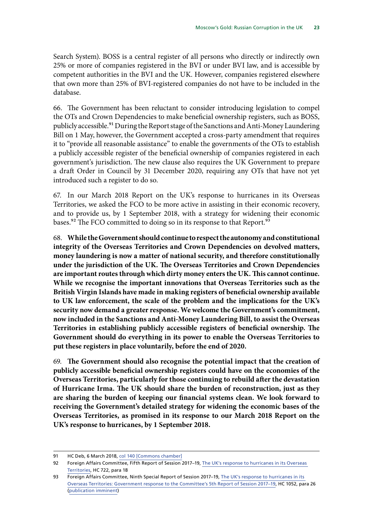Search System). BOSS is a central register of all persons who directly or indirectly own 25% or more of companies registered in the BVI or under BVI law, and is accessible by competent authorities in the BVI and the UK. However, companies registered elsewhere that own more than 25% of BVI-registered companies do not have to be included in the database.

66. The Government has been reluctant to consider introducing legislation to compel the OTs and Crown Dependencies to make beneficial ownership registers, such as BOSS, publicly accessible.91 During the Report stage of the Sanctions and Anti-Money Laundering Bill on 1 May, however, the Government accepted a cross-party amendment that requires it to "provide all reasonable assistance" to enable the governments of the OTs to establish a publicly accessible register of the beneficial ownership of companies registered in each government's jurisdiction. The new clause also requires the UK Government to prepare a draft Order in Council by 31 December 2020, requiring any OTs that have not yet introduced such a register to do so.

67. In our March 2018 Report on the UK's response to hurricanes in its Overseas Territories, we asked the FCO to be more active in assisting in their economic recovery, and to provide us, by 1 September 2018, with a strategy for widening their economic bases.<sup>92</sup> The FCO committed to doing so in its response to that Report.<sup>93</sup>

68. **While the Government should continue to respect the autonomy and constitutional integrity of the Overseas Territories and Crown Dependencies on devolved matters, money laundering is now a matter of national security, and therefore constitutionally under the jurisdiction of the UK. The Overseas Territories and Crown Dependencies are important routes through which dirty money enters the UK. This cannot continue. While we recognise the important innovations that Overseas Territories such as the British Virgin Islands have made in making registers of beneficial ownership available to UK law enforcement, the scale of the problem and the implications for the UK's security now demand a greater response. We welcome the Government's commitment, now included in the Sanctions and Anti-Money Laundering Bill, to assist the Overseas Territories in establishing publicly accessible registers of beneficial ownership. The Government should do everything in its power to enable the Overseas Territories to put these registers in place voluntarily, before the end of 2020.**

69. The Government should also recognise the potential impact that the creation of **publicly accessible beneficial ownership registers could have on the economies of the Overseas Territories, particularly for those continuing to rebuild after the devastation of Hurricane Irma. The UK should share the burden of reconstruction, just as they are sharing the burden of keeping our financial systems clean. We look forward to receiving the Government's detailed strategy for widening the economic bases of the Overseas Territories, as promised in its response to our March 2018 Report on the UK's response to hurricanes, by 1 September 2018.**

<sup>91</sup> HC Deb, 6 March 2018, [col 140](https://hansard.parliament.uk/Commons/2018-03-06/debates/57c3bd4b-0291-4c56-881a-a8ba128c6739/SanctionsAndAnti-MoneyLaunderingBill(Lords)(SixthSitting)) [Commons chamber]

<sup>92</sup> Foreign Affairs Committee, Fifth Report of Session 2017–19, [The UK's response to hurricanes in its Overseas](https://publications.parliament.uk/pa/cm201719/cmselect/cmfaff/722/722.pdf)  [Territories](https://publications.parliament.uk/pa/cm201719/cmselect/cmfaff/722/722.pdf), HC 722, para 18

<sup>93</sup> Foreign Affairs Committee, Ninth Special Report of Session 2017–19, [The UK's response to hurricanes in its](https://publications.parliament.uk/pa/cm201719/cmselect/cmfaff/722/722.pdf)  [Overseas Territories](https://publications.parliament.uk/pa/cm201719/cmselect/cmfaff/722/722.pdf): Government response to the Committee's 5th Report of Session 2017–19, HC 1052, para 26 [\(publication imminent\)](https://www.parliament.uk/business/committees/committees-a-z/commons-select/foreign-affairs-committee/)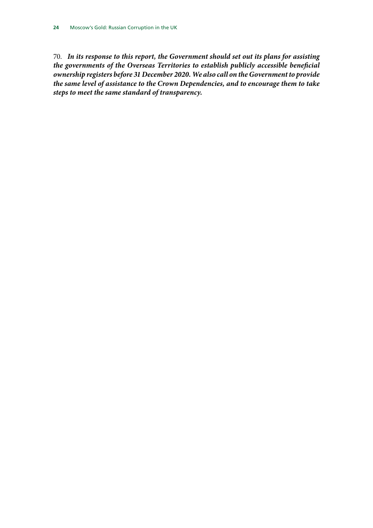70. *In its response to this report, the Government should set out its plans for assisting the governments of the Overseas Territories to establish publicly accessible beneficial ownership registers before 31 December 2020. We also call on the Government to provide the same level of assistance to the Crown Dependencies, and to encourage them to take steps to meet the same standard of transparency.*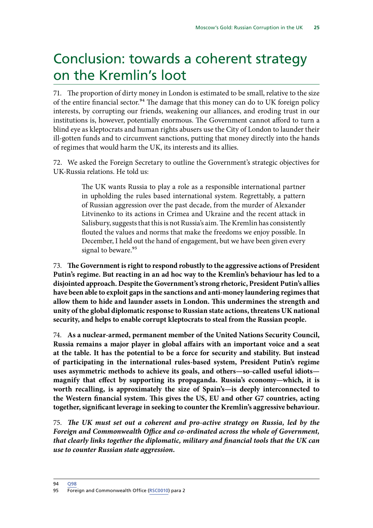## <span id="page-28-0"></span>Conclusion: towards a coherent strategy on the Kremlin's loot

71. The proportion of dirty money in London is estimated to be small, relative to the size of the entire financial sector.94 The damage that this money can do to UK foreign policy interests, by corrupting our friends, weakening our alliances, and eroding trust in our institutions is, however, potentially enormous. The Government cannot afford to turn a blind eye as kleptocrats and human rights abusers use the City of London to launder their ill-gotten funds and to circumvent sanctions, putting that money directly into the hands of regimes that would harm the UK, its interests and its allies.

72. We asked the Foreign Secretary to outline the Government's strategic objectives for UK-Russia relations. He told us:

> The UK wants Russia to play a role as a responsible international partner in upholding the rules based international system. Regrettably, a pattern of Russian aggression over the past decade, from the murder of Alexander Litvinenko to its actions in Crimea and Ukraine and the recent attack in Salisbury, suggests that this is not Russia's aim. The Kremlin has consistently flouted the values and norms that make the freedoms we enjoy possible. In December, I held out the hand of engagement, but we have been given every signal to beware.<sup>95</sup>

73. The Government is right to respond robustly to the aggressive actions of President **Putin's regime. But reacting in an ad hoc way to the Kremlin's behaviour has led to a disjointed approach. Despite the Government's strong rhetoric, President Putin's allies have been able to exploit gaps in the sanctions and anti-money laundering regimes that allow them to hide and launder assets in London. This undermines the strength and unity of the global diplomatic response to Russian state actions, threatens UK national security, and helps to enable corrupt kleptocrats to steal from the Russian people.**

74. **As a nuclear-armed, permanent member of the United Nations Security Council, Russia remains a major player in global affairs with an important voice and a seat at the table. It has the potential to be a force for security and stability. But instead of participating in the international rules-based system, President Putin's regime uses asymmetric methods to achieve its goals, and others—so-called useful idiots magnify that effect by supporting its propaganda. Russia's economy—which, it is worth recalling, is approximately the size of Spain's—is deeply interconnected to the Western financial system. This gives the US, EU and other G7 countries, acting together, significant leverage in seeking to counter the Kremlin's aggressive behaviour.**

75. The UK must set out a coherent and pro-active strategy on Russia, led by the *Foreign and Commonwealth Office and co-ordinated across the whole of Government, that clearly links together the diplomatic, military and financial tools that the UK can use to counter Russian state aggression.*

94 [Q98](http://data.parliament.uk/writtenevidence/committeeevidence.svc/evidencedocument/foreign-affairs-committee/russian-corruption-and-the-uk/oral/81007.html)

<sup>95</sup> Foreign and Commonwealth Office [\(RSC0010\)](http://data.parliament.uk/writtenevidence/committeeevidence.svc/evidencedocument/foreign-affairs-committee/russian-corruption-and-the-uk/written/82534.html) para 2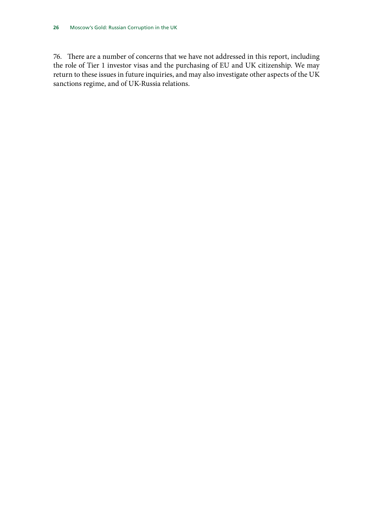76. There are a number of concerns that we have not addressed in this report, including the role of Tier 1 investor visas and the purchasing of EU and UK citizenship. We may return to these issues in future inquiries, and may also investigate other aspects of the UK sanctions regime, and of UK-Russia relations.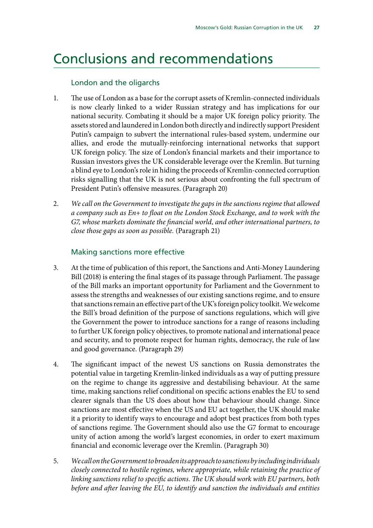### <span id="page-30-0"></span>Conclusions and recommendations

#### London and the oligarchs

- 1. The use of London as a base for the corrupt assets of Kremlin-connected individuals is now clearly linked to a wider Russian strategy and has implications for our national security. Combating it should be a major UK foreign policy priority. The assets stored and laundered in London both directly and indirectly support President Putin's campaign to subvert the international rules-based system, undermine our allies, and erode the mutually-reinforcing international networks that support UK foreign policy. The size of London's financial markets and their importance to Russian investors gives the UK considerable leverage over the Kremlin. But turning a blind eye to London's role in hiding the proceeds of Kremlin-connected corruption risks signalling that the UK is not serious about confronting the full spectrum of President Putin's offensive measures. (Paragraph 20)
- 2. *We call on the Government to investigate the gaps in the sanctions regime that allowed a company such as En+ to float on the London Stock Exchange, and to work with the G7, whose markets dominate the financial world, and other international partners, to close those gaps as soon as possible.* (Paragraph 21)

#### Making sanctions more effective

- 3. At the time of publication of this report, the Sanctions and Anti-Money Laundering Bill (2018) is entering the final stages of its passage through Parliament. The passage of the Bill marks an important opportunity for Parliament and the Government to assess the strengths and weaknesses of our existing sanctions regime, and to ensure that sanctions remain an effective part of the UK's foreign policy toolkit. We welcome the Bill's broad definition of the purpose of sanctions regulations, which will give the Government the power to introduce sanctions for a range of reasons including to further UK foreign policy objectives, to promote national and international peace and security, and to promote respect for human rights, democracy, the rule of law and good governance. (Paragraph 29)
- 4. The significant impact of the newest US sanctions on Russia demonstrates the potential value in targeting Kremlin-linked individuals as a way of putting pressure on the regime to change its aggressive and destabilising behaviour. At the same time, making sanctions relief conditional on specific actions enables the EU to send clearer signals than the US does about how that behaviour should change. Since sanctions are most effective when the US and EU act together, the UK should make it a priority to identify ways to encourage and adopt best practices from both types of sanctions regime. The Government should also use the G7 format to encourage unity of action among the world's largest economies, in order to exert maximum financial and economic leverage over the Kremlin. (Paragraph 30)
- 5. *We call on the Government to broaden its approach to sanctions by including individuals closely connected to hostile regimes, where appropriate, while retaining the practice of linking sanctions relief to specific actions. The UK should work with EU partners, both before and after leaving the EU, to identify and sanction the individuals and entities*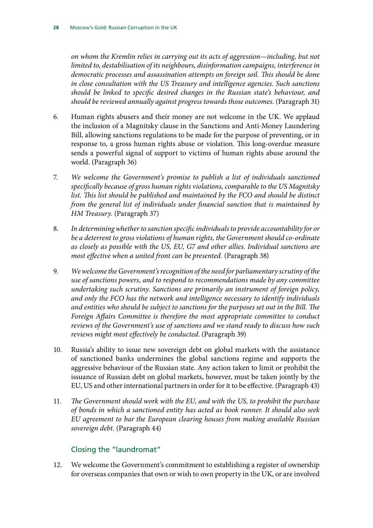*on whom the Kremlin relies in carrying out its acts of aggression—including, but not limited to, destabilisation of its neighbours, disinformation campaigns, interference in democratic processes and assassination attempts on foreign soil. This should be done in close consultation with the US Treasury and intelligence agencies. Such sanctions should be linked to specific desired changes in the Russian state's behaviour, and should be reviewed annually against progress towards those outcomes.* (Paragraph 31)

- 6. Human rights abusers and their money are not welcome in the UK. We applaud the inclusion of a Magnitsky clause in the Sanctions and Anti-Money Laundering Bill, allowing sanctions regulations to be made for the purpose of preventing, or in response to, a gross human rights abuse or violation. This long-overdue measure sends a powerful signal of support to victims of human rights abuse around the world. (Paragraph 36)
- 7. *We welcome the Government's promise to publish a list of individuals sanctioned specifically because of gross human rights violations, comparable to the US Magnitsky*  list. This list should be published and maintained by the FCO and should be distinct *from the general list of individuals under financial sanction that is maintained by HM Treasury.* (Paragraph 37)
- 8. *In determining whether to sanction specific individuals to provide accountability for or be a deterrent to gross violations of human rights, the Government should co-ordinate as closely as possible with the US, EU, G7 and other allies. Individual sanctions are most effective when a united front can be presented.* (Paragraph 38)
- 9. *We welcome the Government's recognition of the need for parliamentary scrutiny of the use of sanctions powers, and to respond to recommendations made by any committee undertaking such scrutiny. Sanctions are primarily an instrument of foreign policy, and only the FCO has the network and intelligence necessary to identify individuals and entities who should be subject to sanctions for the purposes set out in the Bill. The Foreign Affairs Committee is therefore the most appropriate committee to conduct reviews of the Government's use of sanctions and we stand ready to discuss how such reviews might most effectively be conducted*. (Paragraph 39)
- 10. Russia's ability to issue new sovereign debt on global markets with the assistance of sanctioned banks undermines the global sanctions regime and supports the aggressive behaviour of the Russian state. Any action taken to limit or prohibit the issuance of Russian debt on global markets, however, must be taken jointly by the EU, US and other international partners in order for it to be effective. (Paragraph 43)
- 11. *The Government should work with the EU, and with the US, to prohibit the purchase of bonds in which a sanctioned entity has acted as book runner. It should also seek EU agreement to bar the European clearing houses from making available Russian sovereign debt.* (Paragraph 44)

#### Closing the "laundromat"

12. We welcome the Government's commitment to establishing a register of ownership for overseas companies that own or wish to own property in the UK, or are involved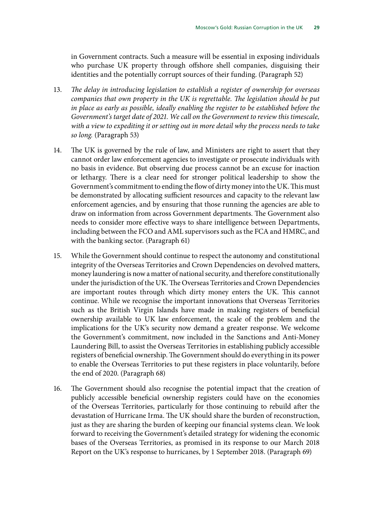in Government contracts. Such a measure will be essential in exposing individuals who purchase UK property through offshore shell companies, disguising their identities and the potentially corrupt sources of their funding. (Paragraph 52)

- 13. *The delay in introducing legislation to establish a register of ownership for overseas companies that own property in the UK is regrettable. The legislation should be put in place as early as possible, ideally enabling the register to be established before the Government's target date of 2021. We call on the Government to review this timescale, with a view to expediting it or setting out in more detail why the process needs to take so long.* (Paragraph 53)
- 14. The UK is governed by the rule of law, and Ministers are right to assert that they cannot order law enforcement agencies to investigate or prosecute individuals with no basis in evidence. But observing due process cannot be an excuse for inaction or lethargy. There is a clear need for stronger political leadership to show the Government's commitment to ending the flow of dirty money into the UK. This must be demonstrated by allocating sufficient resources and capacity to the relevant law enforcement agencies, and by ensuring that those running the agencies are able to draw on information from across Government departments. The Government also needs to consider more effective ways to share intelligence between Departments, including between the FCO and AML supervisors such as the FCA and HMRC, and with the banking sector. (Paragraph 61)
- 15. While the Government should continue to respect the autonomy and constitutional integrity of the Overseas Territories and Crown Dependencies on devolved matters, money laundering is now a matter of national security, and therefore constitutionally under the jurisdiction of the UK. The Overseas Territories and Crown Dependencies are important routes through which dirty money enters the UK. This cannot continue. While we recognise the important innovations that Overseas Territories such as the British Virgin Islands have made in making registers of beneficial ownership available to UK law enforcement, the scale of the problem and the implications for the UK's security now demand a greater response. We welcome the Government's commitment, now included in the Sanctions and Anti-Money Laundering Bill, to assist the Overseas Territories in establishing publicly accessible registers of beneficial ownership. The Government should do everything in its power to enable the Overseas Territories to put these registers in place voluntarily, before the end of 2020. (Paragraph 68)
- 16. The Government should also recognise the potential impact that the creation of publicly accessible beneficial ownership registers could have on the economies of the Overseas Territories, particularly for those continuing to rebuild after the devastation of Hurricane Irma. The UK should share the burden of reconstruction, just as they are sharing the burden of keeping our financial systems clean. We look forward to receiving the Government's detailed strategy for widening the economic bases of the Overseas Territories, as promised in its response to our March 2018 Report on the UK's response to hurricanes, by 1 September 2018. (Paragraph 69)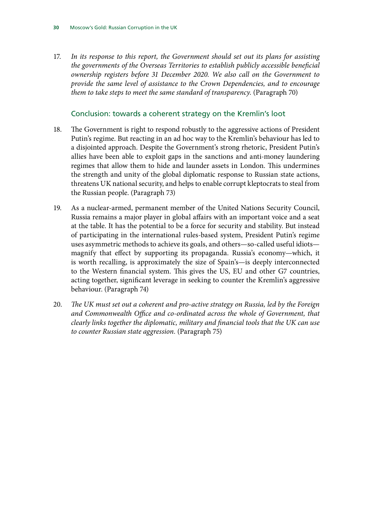17. *In its response to this report, the Government should set out its plans for assisting the governments of the Overseas Territories to establish publicly accessible beneficial ownership registers before 31 December 2020. We also call on the Government to provide the same level of assistance to the Crown Dependencies, and to encourage them to take steps to meet the same standard of transparency.* (Paragraph 70)

#### Conclusion: towards a coherent strategy on the Kremlin's loot

- 18. The Government is right to respond robustly to the aggressive actions of President Putin's regime. But reacting in an ad hoc way to the Kremlin's behaviour has led to a disjointed approach. Despite the Government's strong rhetoric, President Putin's allies have been able to exploit gaps in the sanctions and anti-money laundering regimes that allow them to hide and launder assets in London. This undermines the strength and unity of the global diplomatic response to Russian state actions, threatens UK national security, and helps to enable corrupt kleptocrats to steal from the Russian people. (Paragraph 73)
- 19. As a nuclear-armed, permanent member of the United Nations Security Council, Russia remains a major player in global affairs with an important voice and a seat at the table. It has the potential to be a force for security and stability. But instead of participating in the international rules-based system, President Putin's regime uses asymmetric methods to achieve its goals, and others—so-called useful idiots magnify that effect by supporting its propaganda. Russia's economy—which, it is worth recalling, is approximately the size of Spain's—is deeply interconnected to the Western financial system. This gives the US, EU and other G7 countries, acting together, significant leverage in seeking to counter the Kremlin's aggressive behaviour. (Paragraph 74)
- 20. *The UK must set out a coherent and pro-active strategy on Russia, led by the Foreign*  and Commonwealth Office and co-ordinated across the whole of Government, that *clearly links together the diplomatic, military and financial tools that the UK can use to counter Russian state aggression.* (Paragraph 75)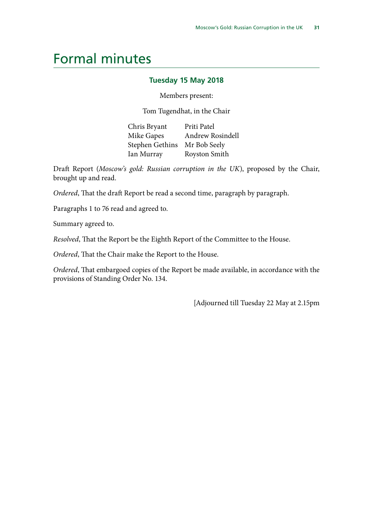### <span id="page-34-0"></span>Formal minutes

#### **Tuesday 15 May 2018**

Members present:

Tom Tugendhat, in the Chair

Chris Bryant Priti Patel Mike Gapes Andrew Rosindell Stephen Gethins Mr Bob Seely Ian Murray Royston Smith

Draft Report (*Moscow's gold: Russian corruption in the UK*), proposed by the Chair, brought up and read.

*Ordered*, That the draft Report be read a second time, paragraph by paragraph.

Paragraphs 1 to 76 read and agreed to.

Summary agreed to.

*Resolved*, That the Report be the Eighth Report of the Committee to the House.

*Ordered*, That the Chair make the Report to the House.

*Ordered*, That embargoed copies of the Report be made available, in accordance with the provisions of Standing Order No. 134.

[Adjourned till Tuesday 22 May at 2.15pm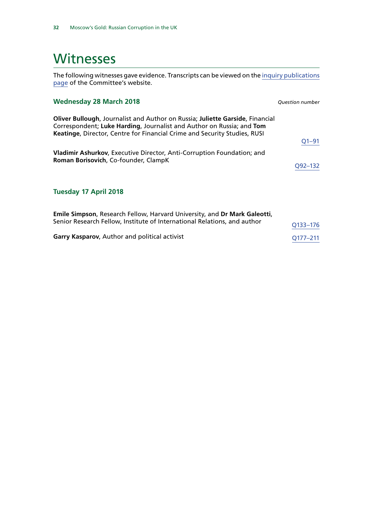### <span id="page-35-0"></span>**Witnesses**

The following witnesses gave evidence. Transcripts can be viewed on the [inquiry publications](https://www.parliament.uk/business/committees/committees-a-z/commons-select/foreign-affairs-committee/inquiries1/parliament-2017/inquiry7/publications/) [page](https://www.parliament.uk/business/committees/committees-a-z/commons-select/foreign-affairs-committee/inquiries1/parliament-2017/inquiry7/publications/) of the Committee's website.

| <b>Wednesday 28 March 2018</b>                                                                                                                                                                                                      | <b>Ouestion number</b> |
|-------------------------------------------------------------------------------------------------------------------------------------------------------------------------------------------------------------------------------------|------------------------|
| Oliver Bullough, Journalist and Author on Russia; Juliette Garside, Financial<br>Correspondent; Luke Harding, Journalist and Author on Russia; and Tom<br>Keatinge, Director, Centre for Financial Crime and Security Studies, RUSI |                        |
|                                                                                                                                                                                                                                     | $Q1 - 91$              |
| Vladimir Ashurkov, Executive Director, Anti-Corruption Foundation; and<br>Roman Borisovich, Co-founder, ClampK                                                                                                                      |                        |
|                                                                                                                                                                                                                                     | Q <sub>92–132</sub>    |
| <b>Tuesday 17 April 2018</b>                                                                                                                                                                                                        |                        |
| Emile Simpson, Research Fellow, Harvard University, and Dr Mark Galeotti,<br>Senior Research Fellow, Institute of International Relations, and author                                                                               | O <sub>133</sub> -176  |

Garry Kasparov, Author and political activist **Garry Kasparov**, Author and political activist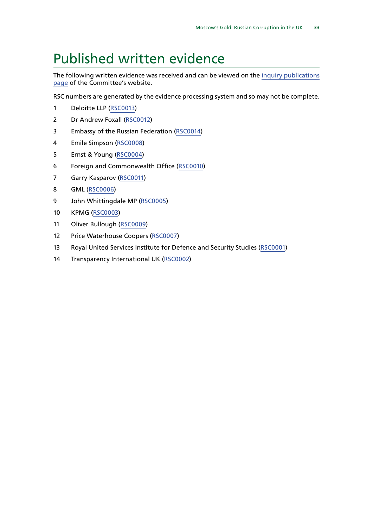## <span id="page-36-0"></span>Published written evidence

The following written evidence was received and can be viewed on the [inquiry publications](https://www.parliament.uk/business/committees/committees-a-z/commons-select/foreign-affairs-committee/inquiries1/parliament-2017/inquiry7/publications/) [page](https://www.parliament.uk/business/committees/committees-a-z/commons-select/foreign-affairs-committee/inquiries1/parliament-2017/inquiry7/publications/) of the Committee's website.

RSC numbers are generated by the evidence processing system and so may not be complete.

- Deloitte LLP [\(RSC0013](http://data.parliament.uk/WrittenEvidence/CommitteeEvidence.svc/EvidenceDocument/Foreign%20Affairs/Russian%20corruption%20and%20the%20UK/written/82546.html))
- Dr Andrew Foxall ([RSC0012\)](http://data.parliament.uk/WrittenEvidence/CommitteeEvidence.svc/EvidenceDocument/Foreign%20Affairs/Russian%20corruption%20and%20the%20UK/written/82545.html)
- Embassy of the Russian Federation [\(RSC0014](http://data.parliament.uk/WrittenEvidence/CommitteeEvidence.svc/EvidenceDocument/Foreign%20Affairs/Russian%20corruption%20and%20the%20UK/written/82553.html))
- Emile Simpson ([RSC0008](http://data.parliament.uk/WrittenEvidence/CommitteeEvidence.svc/EvidenceDocument/Foreign%20Affairs/Russian%20corruption%20and%20the%20UK/written/82277.html))
- Ernst & Young [\(RSC0004\)](http://data.parliament.uk/WrittenEvidence/CommitteeEvidence.svc/EvidenceDocument/Foreign%20Affairs/Russian%20corruption%20and%20the%20UK/written/81855.html)
- Foreign and Commonwealth Office ([RSC0010](http://data.parliament.uk/WrittenEvidence/CommitteeEvidence.svc/EvidenceDocument/Foreign%20Affairs/Russian%20corruption%20and%20the%20UK/written/82534.html))
- Garry Kasparov [\(RSC0011\)](http://data.parliament.uk/WrittenEvidence/CommitteeEvidence.svc/EvidenceDocument/Foreign%20Affairs/Russian%20corruption%20and%20the%20UK/written/82543.html)
- GML [\(RSC0006\)](http://data.parliament.uk/WrittenEvidence/CommitteeEvidence.svc/EvidenceDocument/Foreign%20Affairs/Russian%20corruption%20and%20the%20UK/written/82109.html)
- 9 John Whittingdale MP ([RSC0005](http://data.parliament.uk/WrittenEvidence/CommitteeEvidence.svc/EvidenceDocument/Foreign%20Affairs/Russian%20corruption%20and%20the%20UK/written/81964.html))
- KPMG ([RSC0003\)](http://data.parliament.uk/WrittenEvidence/CommitteeEvidence.svc/EvidenceDocument/Foreign%20Affairs/Russian%20corruption%20and%20the%20UK/written/81827.html)
- Oliver Bullough [\(RSC0009\)](http://data.parliament.uk/WrittenEvidence/CommitteeEvidence.svc/EvidenceDocument/Foreign%20Affairs/Russian%20corruption%20and%20the%20UK/written/82279.html)
- Price Waterhouse Coopers [\(RSC0007\)](http://data.parliament.uk/WrittenEvidence/CommitteeEvidence.svc/EvidenceDocument/Foreign%20Affairs/Russian%20corruption%20and%20the%20UK/written/82276.html)
- Royal United Services Institute for Defence and Security Studies ([RSC0001](http://data.parliament.uk/WrittenEvidence/CommitteeEvidence.svc/EvidenceDocument/Foreign%20Affairs/Russian%20corruption%20and%20the%20UK/written/81824.html))
- 14 Transparency International UK ([RSC0002](http://data.parliament.uk/WrittenEvidence/CommitteeEvidence.svc/EvidenceDocument/Foreign%20Affairs/Russian%20corruption%20and%20the%20UK/written/81825.html))